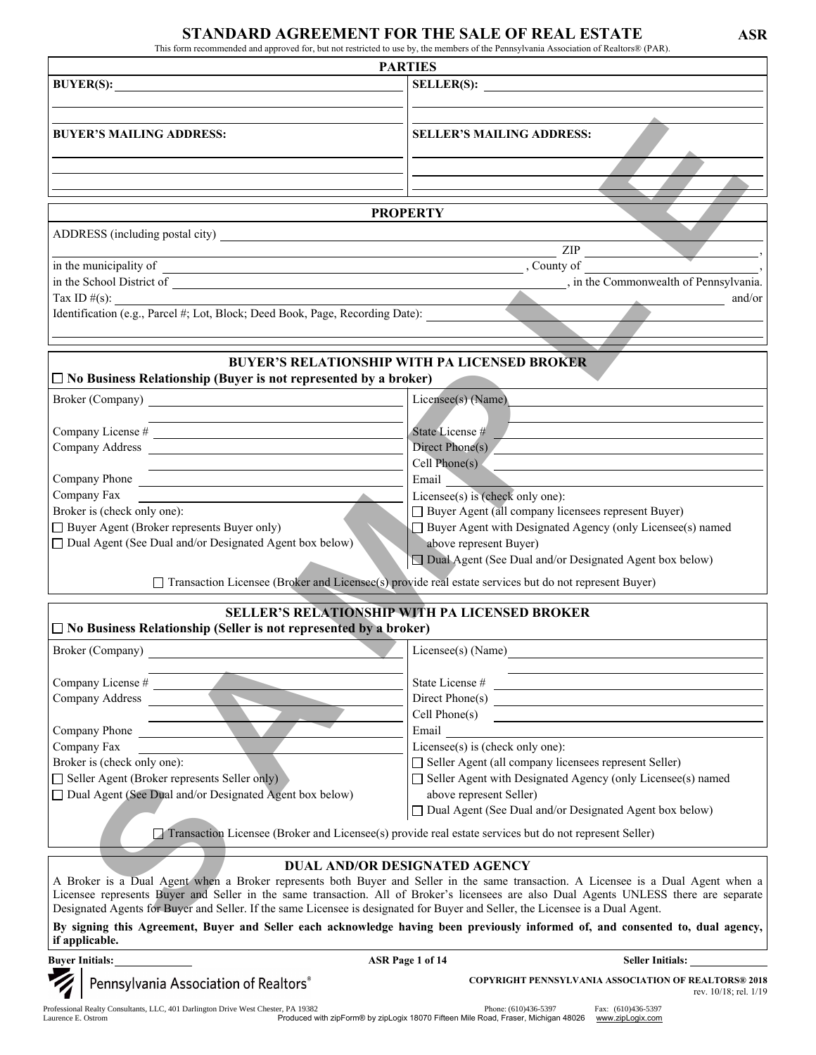## STANDARD AGREEMENT FOR THE SALE OF REAL ESTATE ASR

This form recommended and approved for, but not restricted to use by, the members of the Pennsylvania Association of Realtors® (PAR).

|                                                                                                                                                                                                                                                                                                                                                                                                                                                               | <b>PARTIES</b>                                                                                                                                                             |  |  |  |
|---------------------------------------------------------------------------------------------------------------------------------------------------------------------------------------------------------------------------------------------------------------------------------------------------------------------------------------------------------------------------------------------------------------------------------------------------------------|----------------------------------------------------------------------------------------------------------------------------------------------------------------------------|--|--|--|
| BUYER(S):                                                                                                                                                                                                                                                                                                                                                                                                                                                     |                                                                                                                                                                            |  |  |  |
|                                                                                                                                                                                                                                                                                                                                                                                                                                                               |                                                                                                                                                                            |  |  |  |
|                                                                                                                                                                                                                                                                                                                                                                                                                                                               |                                                                                                                                                                            |  |  |  |
| <b>BUYER'S MAILING ADDRESS:</b>                                                                                                                                                                                                                                                                                                                                                                                                                               | <b>SELLER'S MAILING ADDRESS:</b>                                                                                                                                           |  |  |  |
|                                                                                                                                                                                                                                                                                                                                                                                                                                                               |                                                                                                                                                                            |  |  |  |
|                                                                                                                                                                                                                                                                                                                                                                                                                                                               |                                                                                                                                                                            |  |  |  |
|                                                                                                                                                                                                                                                                                                                                                                                                                                                               |                                                                                                                                                                            |  |  |  |
|                                                                                                                                                                                                                                                                                                                                                                                                                                                               | <b>PROPERTY</b>                                                                                                                                                            |  |  |  |
|                                                                                                                                                                                                                                                                                                                                                                                                                                                               |                                                                                                                                                                            |  |  |  |
|                                                                                                                                                                                                                                                                                                                                                                                                                                                               | ZIP                                                                                                                                                                        |  |  |  |
|                                                                                                                                                                                                                                                                                                                                                                                                                                                               |                                                                                                                                                                            |  |  |  |
|                                                                                                                                                                                                                                                                                                                                                                                                                                                               | $\frac{1}{2}$ m une intime painty of $\frac{1}{2}$ , County of $\frac{1}{2}$ , County of $\frac{1}{2}$ , in the Commonwealth of Pennsylvania.                              |  |  |  |
|                                                                                                                                                                                                                                                                                                                                                                                                                                                               | and/or                                                                                                                                                                     |  |  |  |
|                                                                                                                                                                                                                                                                                                                                                                                                                                                               |                                                                                                                                                                            |  |  |  |
|                                                                                                                                                                                                                                                                                                                                                                                                                                                               |                                                                                                                                                                            |  |  |  |
|                                                                                                                                                                                                                                                                                                                                                                                                                                                               |                                                                                                                                                                            |  |  |  |
|                                                                                                                                                                                                                                                                                                                                                                                                                                                               | <b>BUYER'S RELATIONSHIP WITH PA LICENSED BROKER</b>                                                                                                                        |  |  |  |
| $\Box$ No Business Relationship (Buyer is not represented by a broker)                                                                                                                                                                                                                                                                                                                                                                                        |                                                                                                                                                                            |  |  |  |
|                                                                                                                                                                                                                                                                                                                                                                                                                                                               | Licensee(s) (Name)                                                                                                                                                         |  |  |  |
|                                                                                                                                                                                                                                                                                                                                                                                                                                                               |                                                                                                                                                                            |  |  |  |
|                                                                                                                                                                                                                                                                                                                                                                                                                                                               | State License #                                                                                                                                                            |  |  |  |
| Company Address                                                                                                                                                                                                                                                                                                                                                                                                                                               | Direct Phone(s)                                                                                                                                                            |  |  |  |
| the control of the control of the control of the control of the control of the control of                                                                                                                                                                                                                                                                                                                                                                     | $Cell$ Phone(s)<br>the contract of the contract of the contract of the contract of the contract of                                                                         |  |  |  |
| Company Phone                                                                                                                                                                                                                                                                                                                                                                                                                                                 | Email                                                                                                                                                                      |  |  |  |
| Company Fax                                                                                                                                                                                                                                                                                                                                                                                                                                                   | Licensee(s) is (check only one):                                                                                                                                           |  |  |  |
| Broker is (check only one):                                                                                                                                                                                                                                                                                                                                                                                                                                   | □ Buyer Agent (all company licensees represent Buyer)                                                                                                                      |  |  |  |
| □ Buyer Agent (Broker represents Buyer only)                                                                                                                                                                                                                                                                                                                                                                                                                  | Buyer Agent with Designated Agency (only Licensee(s) named                                                                                                                 |  |  |  |
| $\Box$ Dual Agent (See Dual and/or Designated Agent box below)                                                                                                                                                                                                                                                                                                                                                                                                | above represent Buyer)                                                                                                                                                     |  |  |  |
|                                                                                                                                                                                                                                                                                                                                                                                                                                                               |                                                                                                                                                                            |  |  |  |
|                                                                                                                                                                                                                                                                                                                                                                                                                                                               | □ Dual Agent (See Dual and/or Designated Agent box below)                                                                                                                  |  |  |  |
|                                                                                                                                                                                                                                                                                                                                                                                                                                                               |                                                                                                                                                                            |  |  |  |
|                                                                                                                                                                                                                                                                                                                                                                                                                                                               | □ Transaction Licensee (Broker and Licensee(s) provide real estate services but do not represent Buyer)                                                                    |  |  |  |
|                                                                                                                                                                                                                                                                                                                                                                                                                                                               | <b>SELLER'S RELATIONSHIP WITH PA LICENSED BROKER</b>                                                                                                                       |  |  |  |
|                                                                                                                                                                                                                                                                                                                                                                                                                                                               |                                                                                                                                                                            |  |  |  |
|                                                                                                                                                                                                                                                                                                                                                                                                                                                               |                                                                                                                                                                            |  |  |  |
|                                                                                                                                                                                                                                                                                                                                                                                                                                                               | Licensee(s) (Name)                                                                                                                                                         |  |  |  |
|                                                                                                                                                                                                                                                                                                                                                                                                                                                               |                                                                                                                                                                            |  |  |  |
|                                                                                                                                                                                                                                                                                                                                                                                                                                                               | State License #                                                                                                                                                            |  |  |  |
|                                                                                                                                                                                                                                                                                                                                                                                                                                                               | $Cell$ Phone $(s)$                                                                                                                                                         |  |  |  |
|                                                                                                                                                                                                                                                                                                                                                                                                                                                               | <u> 1989 - Johann John Stein, fransk politik (d. 1989)</u><br>Email                                                                                                        |  |  |  |
|                                                                                                                                                                                                                                                                                                                                                                                                                                                               | Licensee(s) is (check only one):                                                                                                                                           |  |  |  |
|                                                                                                                                                                                                                                                                                                                                                                                                                                                               | Seller Agent (all company licensees represent Seller)                                                                                                                      |  |  |  |
|                                                                                                                                                                                                                                                                                                                                                                                                                                                               | $\Box$ Seller Agent with Designated Agency (only Licensee(s) named                                                                                                         |  |  |  |
|                                                                                                                                                                                                                                                                                                                                                                                                                                                               | above represent Seller)                                                                                                                                                    |  |  |  |
|                                                                                                                                                                                                                                                                                                                                                                                                                                                               | □ Dual Agent (See Dual and/or Designated Agent box below)                                                                                                                  |  |  |  |
|                                                                                                                                                                                                                                                                                                                                                                                                                                                               |                                                                                                                                                                            |  |  |  |
|                                                                                                                                                                                                                                                                                                                                                                                                                                                               | Transaction Licensee (Broker and Licensee(s) provide real estate services but do not represent Seller)                                                                     |  |  |  |
|                                                                                                                                                                                                                                                                                                                                                                                                                                                               |                                                                                                                                                                            |  |  |  |
|                                                                                                                                                                                                                                                                                                                                                                                                                                                               | <b>DUAL AND/OR DESIGNATED AGENCY</b><br>A Broker is a Dual Agent when a Broker represents both Buyer and Seller in the same transaction. A Licensee is a Dual Agent when a |  |  |  |
|                                                                                                                                                                                                                                                                                                                                                                                                                                                               | Licensee represents Buyer and Seller in the same transaction. All of Broker's licensees are also Dual Agents UNLESS there are separate                                     |  |  |  |
| $\Box$ No Business Relationship (Seller is not represented by a broker)<br>Broker (Company)<br>Company License #<br>Company Address<br>Company Phone<br>Company Fax<br>Broker is (check only one):<br>$\Box$ Seller Agent (Broker represents Seller only)<br>$\Box$ Dual Agent (See Dual and/or Designated Agent box below)<br>Designated Agents for Buyer and Seller. If the same Licensee is designated for Buyer and Seller, the Licensee is a Dual Agent. |                                                                                                                                                                            |  |  |  |
|                                                                                                                                                                                                                                                                                                                                                                                                                                                               | By signing this Agreement, Buyer and Seller each acknowledge having been previously informed of, and consented to, dual agency,                                            |  |  |  |
| if applicable.                                                                                                                                                                                                                                                                                                                                                                                                                                                |                                                                                                                                                                            |  |  |  |

Professional Realty Consultants, LLC, 401 Darlington Drive West Chester, PA 19382<br>Laurence E. Ostrom 48026 Manufact Data Produced with zipForm® by zipLogix 18070 Fifteen Mile Road, Fraser, Michigan 48026 www.zipLogix.com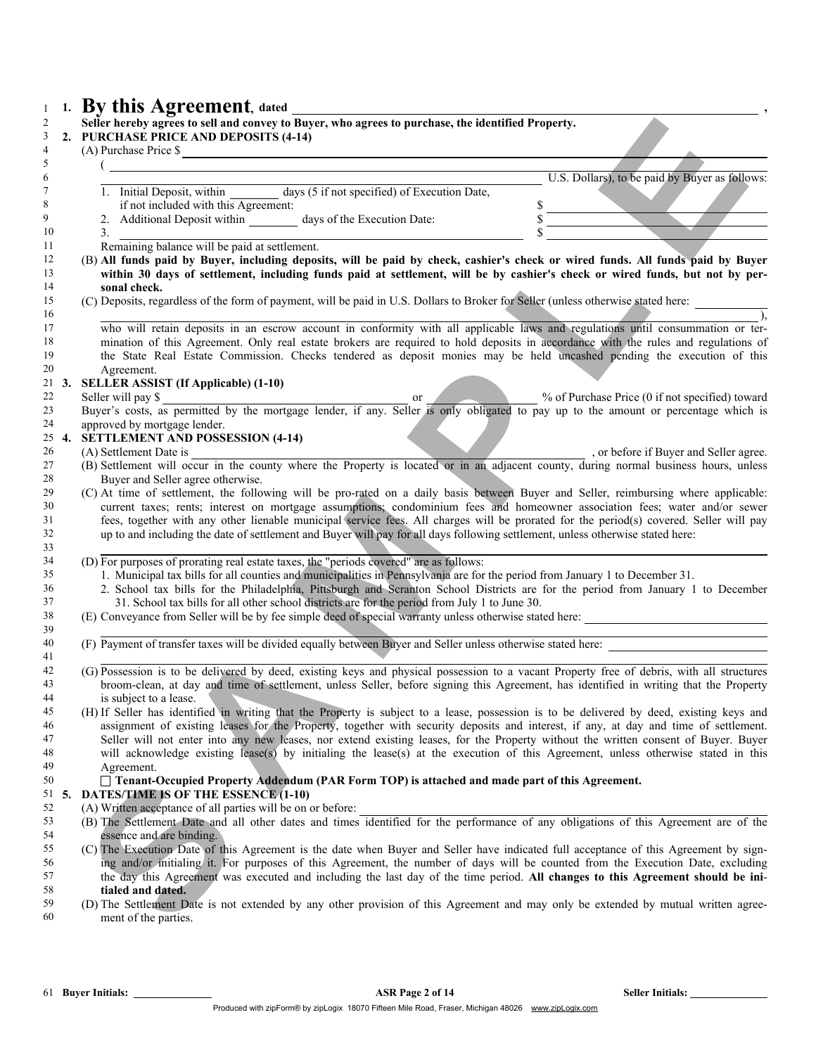|            | Seller hereby agrees to sell and convey to Buyer, who agrees to purchase, the identified Property.<br>2. PURCHASE PRICE AND DEPOSITS (4-14)<br>(A) Purchase Price \$                                                                                                                                                                                                                                                 |                                                |
|------------|----------------------------------------------------------------------------------------------------------------------------------------------------------------------------------------------------------------------------------------------------------------------------------------------------------------------------------------------------------------------------------------------------------------------|------------------------------------------------|
|            |                                                                                                                                                                                                                                                                                                                                                                                                                      |                                                |
|            |                                                                                                                                                                                                                                                                                                                                                                                                                      | U.S. Dollars), to be paid by Buyer as follows: |
|            | 1. Initial Deposit, within days (5 if not specified) of Execution Date,                                                                                                                                                                                                                                                                                                                                              |                                                |
|            | if not included with this Agreement:                                                                                                                                                                                                                                                                                                                                                                                 | $\frac{s}{s}$                                  |
|            |                                                                                                                                                                                                                                                                                                                                                                                                                      |                                                |
|            | 2. Additional Deposit within $\frac{1}{2}$ days of the Execution Date:<br>Remaining balance will be paid at settlement.                                                                                                                                                                                                                                                                                              |                                                |
|            | (B) All funds paid by Buyer, including deposits, will be paid by check, cashier's check or wired funds. All funds paid by Buyer<br>within 30 days of settlement, including funds paid at settlement, will be by cashier's check or wired funds, but not by per-<br>sonal check.<br>(C) Deposits, regardless of the form of payment, will be paid in U.S. Dollars to Broker for Seller (unless otherwise stated here: |                                                |
|            |                                                                                                                                                                                                                                                                                                                                                                                                                      |                                                |
|            | who will retain deposits in an escrow account in conformity with all applicable laws and regulations until consummation or ter-                                                                                                                                                                                                                                                                                      |                                                |
|            | mination of this Agreement. Only real estate brokers are required to hold deposits in accordance with the rules and regulations of                                                                                                                                                                                                                                                                                   |                                                |
|            | the State Real Estate Commission. Checks tendered as deposit monies may be held uncashed pending the execution of this                                                                                                                                                                                                                                                                                               |                                                |
|            | Agreement.                                                                                                                                                                                                                                                                                                                                                                                                           |                                                |
| $21 \t3.$  | <b>SELLER ASSIST (If Applicable) (1-10)</b>                                                                                                                                                                                                                                                                                                                                                                          |                                                |
|            | Seller will pay \$<br>Buyer's costs, as permitted by the mortgage lender, if any. Seller is only obligated to pay up to the amount or percentage which is                                                                                                                                                                                                                                                            |                                                |
|            |                                                                                                                                                                                                                                                                                                                                                                                                                      |                                                |
|            | approved by mortgage lender.                                                                                                                                                                                                                                                                                                                                                                                         |                                                |
|            | 25 4. SETTLEMENT AND POSSESSION (4-14)                                                                                                                                                                                                                                                                                                                                                                               |                                                |
|            | (A) Settlement Date is (A) Settlement Date is extended to the Property is located or in an adjacent county, during normal business hours, unless (B) Settlement will occur in the county where the Property is located or in a                                                                                                                                                                                       |                                                |
|            |                                                                                                                                                                                                                                                                                                                                                                                                                      |                                                |
|            | Buyer and Seller agree otherwise.<br>(C) At time of settlement, the following will be pro-rated on a daily basis between Buyer and Seller, reimbursing where applicable:                                                                                                                                                                                                                                             |                                                |
|            | current taxes; rents; interest on mortgage assumptions; condominium fees and homeowner association fees; water and/or sewer                                                                                                                                                                                                                                                                                          |                                                |
|            | fees, together with any other lienable municipal service fees. All charges will be prorated for the period(s) covered. Seller will pay                                                                                                                                                                                                                                                                               |                                                |
|            | up to and including the date of settlement and Buyer will pay for all days following settlement, unless otherwise stated here:                                                                                                                                                                                                                                                                                       |                                                |
|            |                                                                                                                                                                                                                                                                                                                                                                                                                      |                                                |
|            | (D) For purposes of prorating real estate taxes, the "periods covered" are as follows:                                                                                                                                                                                                                                                                                                                               |                                                |
|            | 1. Municipal tax bills for all counties and municipalities in Pennsylvania are for the period from January 1 to December 31.                                                                                                                                                                                                                                                                                         |                                                |
|            | 2. School tax bills for the Philadelphia, Pittsburgh and Scranton School Districts are for the period from January 1 to December                                                                                                                                                                                                                                                                                     |                                                |
|            | 31. School tax bills for all other school districts are for the period from July 1 to June 30.                                                                                                                                                                                                                                                                                                                       |                                                |
|            | (E) Conveyance from Seller will be by fee simple deed of special warranty unless otherwise stated here:                                                                                                                                                                                                                                                                                                              |                                                |
|            |                                                                                                                                                                                                                                                                                                                                                                                                                      |                                                |
|            | (F) Payment of transfer taxes will be divided equally between Buyer and Seller unless otherwise stated here:                                                                                                                                                                                                                                                                                                         |                                                |
|            | (G) Possession is to be delivered by deed, existing keys and physical possession to a vacant Property free of debris, with all structures                                                                                                                                                                                                                                                                            |                                                |
|            | broom-clean, at day and time of settlement, unless Seller, before signing this Agreement, has identified in writing that the Property                                                                                                                                                                                                                                                                                |                                                |
|            |                                                                                                                                                                                                                                                                                                                                                                                                                      |                                                |
|            |                                                                                                                                                                                                                                                                                                                                                                                                                      |                                                |
|            | is subject to a lease.                                                                                                                                                                                                                                                                                                                                                                                               |                                                |
|            | (H) If Seller has identified in writing that the Property is subject to a lease, possession is to be delivered by deed, existing keys and<br>assignment of existing leases for the Property, together with security deposits and interest, if any, at day and time of settlement.                                                                                                                                    |                                                |
|            | Seller will not enter into any new leases, nor extend existing leases, for the Property without the written consent of Buyer. Buyer                                                                                                                                                                                                                                                                                  |                                                |
|            | will acknowledge existing lease(s) by initialing the lease(s) at the execution of this Agreement, unless otherwise stated in this                                                                                                                                                                                                                                                                                    |                                                |
|            | Agreement.                                                                                                                                                                                                                                                                                                                                                                                                           |                                                |
|            | $\Box$ Tenant-Occupied Property Addendum (PAR Form TOP) is attached and made part of this Agreement.                                                                                                                                                                                                                                                                                                                 |                                                |
|            | <b>DATES/TIME IS OF THE ESSENCE (1-10)</b>                                                                                                                                                                                                                                                                                                                                                                           |                                                |
|            | (A) Written acceptance of all parties will be on or before:                                                                                                                                                                                                                                                                                                                                                          |                                                |
|            | (B) The Settlement Date and all other dates and times identified for the performance of any obligations of this Agreement are of the                                                                                                                                                                                                                                                                                 |                                                |
|            | essence and are binding.                                                                                                                                                                                                                                                                                                                                                                                             |                                                |
|            | (C) The Execution Date of this Agreement is the date when Buyer and Seller have indicated full acceptance of this Agreement by sign-                                                                                                                                                                                                                                                                                 |                                                |
|            | ing and/or initialing it. For purposes of this Agreement, the number of days will be counted from the Execution Date, excluding                                                                                                                                                                                                                                                                                      |                                                |
|            | the day this Agreement was executed and including the last day of the time period. All changes to this Agreement should be ini-                                                                                                                                                                                                                                                                                      |                                                |
| $51\;\;5.$ | tialed and dated.<br>(D) The Settlement Date is not extended by any other provision of this Agreement and may only be extended by mutual written agree-                                                                                                                                                                                                                                                              |                                                |

## $\Box$  Tenant-Occupied Property Addendum (PAR Form TOP) is attached and made part of this Agreement.

## 5. DATES/TIME IS OF THE ESSENCE (1-10)

- 52 (A) Written acceptance of all parties will be on or before:<br>53 (B) The Settlement Date and all other dates and times
- (B) The Settlement Date and all other dates and times identified for the performance of any obligations of this Agreement are of the 54 essence and are binding.<br>55 (C) The Execution Date of
- (C) The Execution Date of this Agreement is the date when Buyer and Seller have indicated full acceptance of this Agreement by sign-<sup>56</sup> ing and/or initialing it. For purposes of this Agreement, the number of days will be counted from the Execution Date, excluding<br><sup>57</sup> the day this Agreement was executed and including the last day of the time period. A the day this Agreement was executed and including the last day of the time period. All changes to this Agreement should be ini-tialed and dated.
- (D) The Settlement Date is not extended by any other provision of this Agreement and may only be extended by mutual written agree-ment of the parties.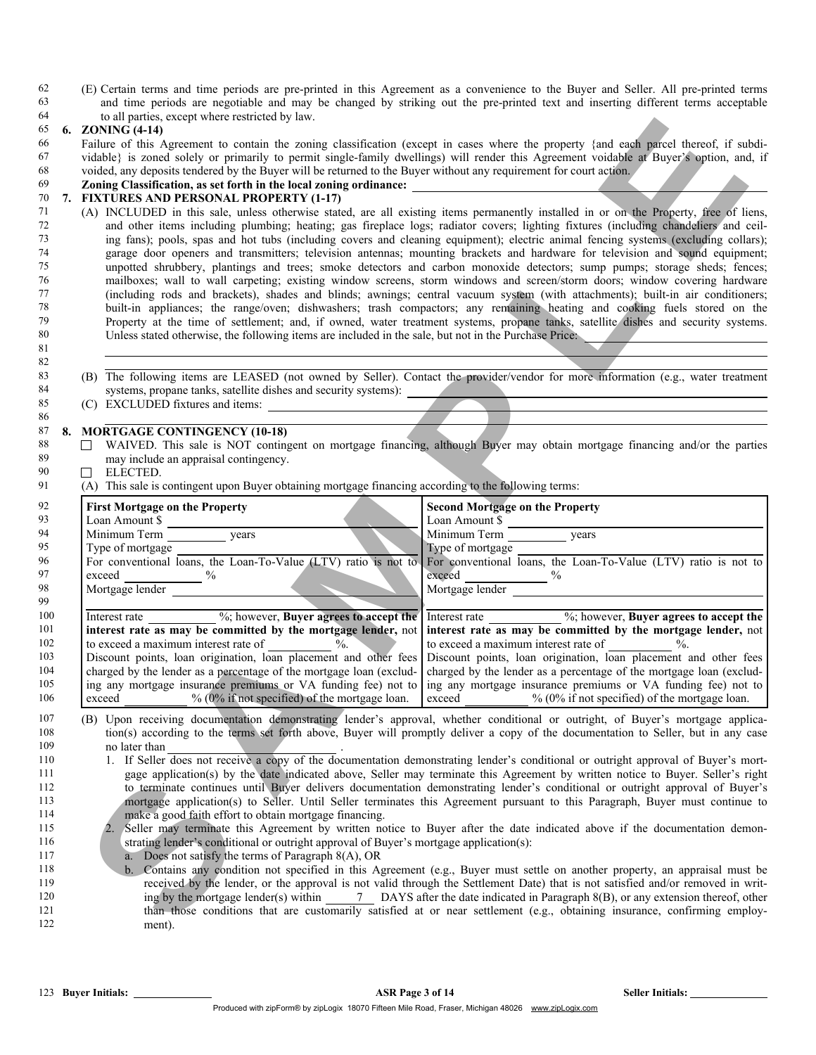62 (E) Certain terms and time periods are pre-printed in this Agreement as a convenience to the Buyer and Seller. All pre-printed terms 63 and time periods are negotiable and may be changed by striking out the pre-printed text and inserting different terms acceptable to all parties except where restricted by law. to all parties, except where restricted by law.

### 65 6. ZONING (4-14)

# 70 7. FIXTURES AND PERSONAL PROPERTY (1-17)<br>71 (A) INCLUDED in this sale, unless otherwise state

- 71 (A) INCLUDED in this sale, unless otherwise stated, are all existing items permanently installed in or on the Property, free of liens, 72 and other items including plumbing; heating; gas fireplace logs; radiator covers; lighting fixtures (including chandeliers and ceil-73 ing fans); pools, spas and hot tubs (including covers and cleaning equipment); electric animal fencing systems (excluding collars); 74 garage door openers and transmitters; television antennas; mounting brackets and hardware for television and sound equipment; 75 unpotted shrubbery, plantings and trees; smoke detectors and carbon monoxide detectors; sump pumps; storage sheds; fences; 76 mailboxes; wall to wall carpeting; existing window screens, storm windows and screen/storm doors; window covering hardware<br>77 (including rods and brackets) shades and blinds; awnings; central yacuum system (with attachm 77 (including rods and brackets), shades and blinds; awnings; central vacuum system (with attachments); built-in air conditioners; The *puilt-in appliances*; the range/oven; dishwashers; trash compactors; any remaining heating and cooking fuels stored on the *Property at the time of settlement* and if owned water treatment systems propane tanks satell Property at the time of settlement; and, if owned, water treatment systems, propane tanks, satellite dishes and security systems. 80 Unless stated otherwise, the following items are included in the sale, but not in the Purchase Price:
- 83 (B) The following items are LEASED (not owned by Seller). Contact the provider/vendor for more information (e.g., water treatment 84 systems, propane tanks, satellite dishes and security systems): <br>(C) EXCLUDED fixtures and items:
- (C) EXCLUDED fixtures and items: 86

## 87 8. MORTGAGE CONTINGENCY (10-18)<br>88 7 WAIVED This sale is NOT contine

- 88 WAIVED. This sale is NOT contingent on mortgage financing, although Buyer may obtain mortgage financing and/or the parties 89 may include an appraisal contingency.
- 90  $\Box$  ELECTED.

81 82

99

| 64  |                                                                                                                                                                                                                                                                      | to all parties, except where restricted by law.                                                                                 |                                                                                                                                                                                                                                |  |
|-----|----------------------------------------------------------------------------------------------------------------------------------------------------------------------------------------------------------------------------------------------------------------------|---------------------------------------------------------------------------------------------------------------------------------|--------------------------------------------------------------------------------------------------------------------------------------------------------------------------------------------------------------------------------|--|
| 65  |                                                                                                                                                                                                                                                                      | 6. ZONING (4-14)                                                                                                                |                                                                                                                                                                                                                                |  |
| 66  | Failure of this Agreement to contain the zoning classification (except in cases where the property {and each parcel thereof, if subdi-                                                                                                                               |                                                                                                                                 |                                                                                                                                                                                                                                |  |
| 67  | vidable} is zoned solely or primarily to permit single-family dwellings) will render this Agreement voidable at Buyer's option, and, if                                                                                                                              |                                                                                                                                 |                                                                                                                                                                                                                                |  |
| 68  | voided, any deposits tendered by the Buyer will be returned to the Buyer without any requirement for court action.                                                                                                                                                   |                                                                                                                                 |                                                                                                                                                                                                                                |  |
| 69  |                                                                                                                                                                                                                                                                      | Zoning Classification, as set forth in the local zoning ordinance: _________________________________                            |                                                                                                                                                                                                                                |  |
| 70  | 7. FIXTURES AND PERSONAL PROPERTY (1-17)                                                                                                                                                                                                                             |                                                                                                                                 |                                                                                                                                                                                                                                |  |
| 71  | (A) INCLUDED in this sale, unless otherwise stated, are all existing items permanently installed in or on the Property, free of liens,                                                                                                                               |                                                                                                                                 |                                                                                                                                                                                                                                |  |
| 72  | and other items including plumbing; heating; gas fireplace logs; radiator covers; lighting fixtures (including chandeliers and ceil-                                                                                                                                 |                                                                                                                                 |                                                                                                                                                                                                                                |  |
| 73  |                                                                                                                                                                                                                                                                      |                                                                                                                                 |                                                                                                                                                                                                                                |  |
| 74  | ing fans); pools, spas and hot tubs (including covers and cleaning equipment); electric animal fencing systems (excluding collars);<br>garage door openers and transmitters; television antennas; mounting brackets and hardware for television and sound equipment; |                                                                                                                                 |                                                                                                                                                                                                                                |  |
|     |                                                                                                                                                                                                                                                                      |                                                                                                                                 |                                                                                                                                                                                                                                |  |
| 75  | unpotted shrubbery, plantings and trees; smoke detectors and carbon monoxide detectors; sump pumps; storage sheds; fences;                                                                                                                                           |                                                                                                                                 |                                                                                                                                                                                                                                |  |
| 76  | mailboxes; wall to wall carpeting; existing window screens, storm windows and screen/storm doors; window covering hardware                                                                                                                                           |                                                                                                                                 |                                                                                                                                                                                                                                |  |
| 77  | (including rods and brackets), shades and blinds; awnings; central vacuum system (with attachments); built-in air conditioners;                                                                                                                                      |                                                                                                                                 |                                                                                                                                                                                                                                |  |
| 78  |                                                                                                                                                                                                                                                                      |                                                                                                                                 | built-in appliances; the range/oven; dishwashers; trash compactors; any remaining heating and cooking fuels stored on the                                                                                                      |  |
| 79  |                                                                                                                                                                                                                                                                      |                                                                                                                                 | Property at the time of settlement; and, if owned, water treatment systems, propane tanks, satellite dishes and security systems.                                                                                              |  |
| 80  |                                                                                                                                                                                                                                                                      | Unless stated otherwise, the following items are included in the sale, but not in the Purchase Price.                           |                                                                                                                                                                                                                                |  |
| 81  |                                                                                                                                                                                                                                                                      |                                                                                                                                 |                                                                                                                                                                                                                                |  |
| 82  |                                                                                                                                                                                                                                                                      |                                                                                                                                 |                                                                                                                                                                                                                                |  |
| 83  |                                                                                                                                                                                                                                                                      |                                                                                                                                 | (B) The following items are LEASED (not owned by Seller). Contact the provider/vendor for more information (e.g., water treatment                                                                                              |  |
| 84  |                                                                                                                                                                                                                                                                      | systems, propane tanks, satellite dishes and security systems):                                                                 |                                                                                                                                                                                                                                |  |
| 85  |                                                                                                                                                                                                                                                                      | (C) EXCLUDED fixtures and items:                                                                                                |                                                                                                                                                                                                                                |  |
| 86  |                                                                                                                                                                                                                                                                      |                                                                                                                                 |                                                                                                                                                                                                                                |  |
| 87  | 8.                                                                                                                                                                                                                                                                   | <b>MORTGAGE CONTINGENCY (10-18)</b>                                                                                             |                                                                                                                                                                                                                                |  |
| 88  |                                                                                                                                                                                                                                                                      | $\perp$                                                                                                                         | WAIVED. This sale is NOT contingent on mortgage financing, although Buyer may obtain mortgage financing and/or the parties                                                                                                     |  |
| 89  |                                                                                                                                                                                                                                                                      | may include an appraisal contingency.                                                                                           |                                                                                                                                                                                                                                |  |
| 90  |                                                                                                                                                                                                                                                                      | ELECTED.<br>П                                                                                                                   |                                                                                                                                                                                                                                |  |
| 91  |                                                                                                                                                                                                                                                                      | (A) This sale is contingent upon Buyer obtaining mortgage financing according to the following terms:                           |                                                                                                                                                                                                                                |  |
|     |                                                                                                                                                                                                                                                                      |                                                                                                                                 |                                                                                                                                                                                                                                |  |
| 92  |                                                                                                                                                                                                                                                                      | <b>First Mortgage on the Property</b>                                                                                           | <b>Second Mortgage on the Property</b>                                                                                                                                                                                         |  |
| 93  |                                                                                                                                                                                                                                                                      |                                                                                                                                 |                                                                                                                                                                                                                                |  |
| 94  |                                                                                                                                                                                                                                                                      |                                                                                                                                 |                                                                                                                                                                                                                                |  |
| 95  |                                                                                                                                                                                                                                                                      |                                                                                                                                 |                                                                                                                                                                                                                                |  |
| 96  |                                                                                                                                                                                                                                                                      |                                                                                                                                 | Type of mortgage Type of mortgage Type of mortgage Type of mortgage Type of mortgage Type of mortgage Type of mortgage Type of mortgage Type of mortgage Type of mortgage Type of mortgage Type of mortgage Type of mortgage T |  |
| 97  |                                                                                                                                                                                                                                                                      |                                                                                                                                 | $exceed \underline{\hspace{1cm}}$ %                                                                                                                                                                                            |  |
| 98  |                                                                                                                                                                                                                                                                      | exceed<br>Mortgage lender<br>1966                                                                                               | Mortgage lender                                                                                                                                                                                                                |  |
| 99  |                                                                                                                                                                                                                                                                      |                                                                                                                                 |                                                                                                                                                                                                                                |  |
| 100 |                                                                                                                                                                                                                                                                      | Interest rate ___________ %; however, Buyer agrees to accept the                                                                | Interest rate ____________ %; however, Buyer agrees to accept the                                                                                                                                                              |  |
| 101 |                                                                                                                                                                                                                                                                      | interest rate as may be committed by the mortgage lender, not                                                                   | interest rate as may be committed by the mortgage lender, not                                                                                                                                                                  |  |
| 102 |                                                                                                                                                                                                                                                                      |                                                                                                                                 |                                                                                                                                                                                                                                |  |
|     |                                                                                                                                                                                                                                                                      | to exceed a maximum interest rate of $\frac{9}{6}$ .                                                                            | to exceed a maximum interest rate of ___________ %.                                                                                                                                                                            |  |
| 103 |                                                                                                                                                                                                                                                                      | Discount points, loan origination, loan placement and other fees                                                                | Discount points, loan origination, loan placement and other fees                                                                                                                                                               |  |
| 104 |                                                                                                                                                                                                                                                                      | charged by the lender as a percentage of the mortgage loan (exclud-                                                             | charged by the lender as a percentage of the mortgage loan (exclud-                                                                                                                                                            |  |
| 105 |                                                                                                                                                                                                                                                                      | ing any mortgage insurance premiums or VA funding fee) not to                                                                   | ing any mortgage insurance premiums or VA funding fee) not to                                                                                                                                                                  |  |
| 106 |                                                                                                                                                                                                                                                                      | $% (0\%$ if not specified) of the mortgage loan.<br>exceed                                                                      | exceed<br>$% (0\% \text{ if not specified})$ of the mortgage loan.                                                                                                                                                             |  |
| 107 |                                                                                                                                                                                                                                                                      | (B) Upon receiving documentation demonstrating lender's approval, whether conditional or outright, of Buyer's mortgage applica- |                                                                                                                                                                                                                                |  |
| 108 |                                                                                                                                                                                                                                                                      |                                                                                                                                 | tion(s) according to the terms set forth above, Buyer will promptly deliver a copy of the documentation to Seller, but in any case                                                                                             |  |
| 109 |                                                                                                                                                                                                                                                                      | no later than                                                                                                                   |                                                                                                                                                                                                                                |  |
| 110 |                                                                                                                                                                                                                                                                      |                                                                                                                                 | 1. If Seller does not receive a copy of the documentation demonstrating lender's conditional or outright approval of Buyer's mort-                                                                                             |  |
| 111 |                                                                                                                                                                                                                                                                      |                                                                                                                                 | gage application(s) by the date indicated above, Seller may terminate this Agreement by written notice to Buyer. Seller's right                                                                                                |  |
|     |                                                                                                                                                                                                                                                                      |                                                                                                                                 |                                                                                                                                                                                                                                |  |
| 112 |                                                                                                                                                                                                                                                                      |                                                                                                                                 | to terminate continues until Buyer delivers documentation demonstrating lender's conditional or outright approval of Buyer's                                                                                                   |  |
| 113 |                                                                                                                                                                                                                                                                      |                                                                                                                                 | mortgage application(s) to Seller. Until Seller terminates this Agreement pursuant to this Paragraph, Buyer must continue to                                                                                                   |  |
| 114 |                                                                                                                                                                                                                                                                      | make a good faith effort to obtain mortgage financing.                                                                          |                                                                                                                                                                                                                                |  |
| 115 |                                                                                                                                                                                                                                                                      |                                                                                                                                 | 2. Seller may terminate this Agreement by written notice to Buyer after the date indicated above if the documentation demon-                                                                                                   |  |
| 116 |                                                                                                                                                                                                                                                                      | strating lender's conditional or outright approval of Buyer's mortgage application(s):                                          |                                                                                                                                                                                                                                |  |
| 117 |                                                                                                                                                                                                                                                                      | a. Does not satisfy the terms of Paragraph 8(A), OR                                                                             |                                                                                                                                                                                                                                |  |
| 118 |                                                                                                                                                                                                                                                                      |                                                                                                                                 | b. Contains any condition not specified in this Agreement (e.g., Buyer must settle on another property, an appraisal must be                                                                                                   |  |
| 119 |                                                                                                                                                                                                                                                                      |                                                                                                                                 | received by the lender, or the approval is not valid through the Settlement Date) that is not satisfied and/or removed in writ-                                                                                                |  |
| 120 |                                                                                                                                                                                                                                                                      |                                                                                                                                 | ing by the mortgage lender(s) within $\qquad$ 7 DAYS after the date indicated in Paragraph 8(B), or any extension thereof, other                                                                                               |  |
| 121 |                                                                                                                                                                                                                                                                      |                                                                                                                                 | than those conditions that are customarily satisfied at or near settlement (e.g., obtaining insurance, confirming employ-                                                                                                      |  |
| 122 |                                                                                                                                                                                                                                                                      | ment)                                                                                                                           |                                                                                                                                                                                                                                |  |

- 107 (B) Upon receiving documentation demonstrating lender's approval, whether conditional or outright, of Buyer's mortgage applica-<br>108 (a) according to the terms set forth above. Buyer will promptly deliver a copy of the tion(s) according to the terms set forth above, Buyer will promptly deliver a copy of the documentation to Seller, but in any case 109 no later than
- 110 110 1. If Seller does not receive a copy of the documentation demonstrating lender's conditional or outright approval of Buyer's mort-111 gage application(s) by the date indicated above, Seller may terminate this Agreement by written notice to Buyer. Seller's right 112 to terminate continues until Buyer delivers documentation demonstrating lender's conditional or outright approval of Buyer's 113 mortgage application(s) to Seller. Until Seller terminates this Agreement pursuant to this Paragraph, Buyer must continue to 114 make a good faith effort to obtain mortgage financing.
- 115 2. Seller may terminate this Agreement by written notice to Buyer after the date indicated above if the documentation demon-116 strating lender's conditional or outright approval of Buyer's mortgage application(s):
- 117 **a.** Does not satisfy the terms of Paragraph 8(A), OR
- 118 b. Contains any condition not specified in this Agreement (e.g., Buyer must settle on another property, an appraisal must be 119 received by the lender, or the approval is not valid through the Settlement Date) that is not satisfied and/or removed in writ-120 ing by the mortgage lender(s) within 7 DAYS after the date indicated in Paragraph 8(B), or any extension thereof, other 121 than those conditions that are customarily satisfied at or near settlement (e.g., obtaining insurance, confirming employ-122 ment).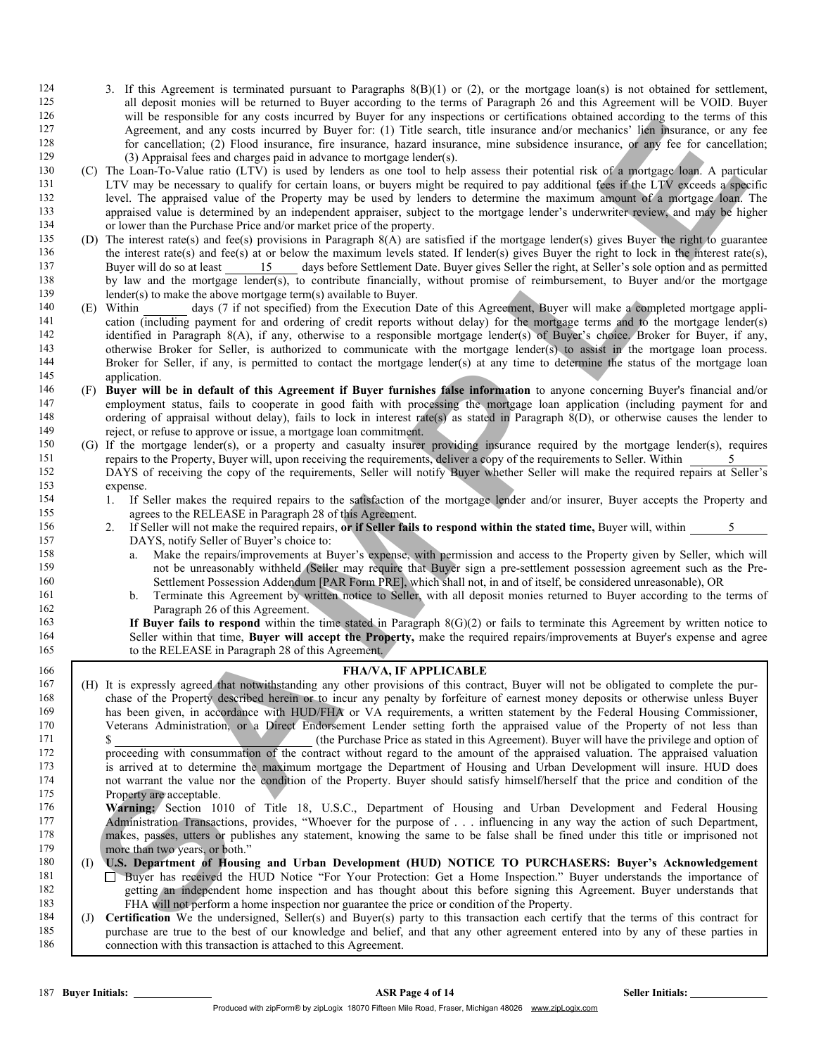- 124 3. If this Agreement is terminated pursuant to Paragraphs 8(B)(1) or (2), or the mortgage loan(s) is not obtained for settlement,<br>125 all deposit monies will be returned to Buver according to the terms of Paragraph 26 125 all deposit monies will be returned to Buyer according to the terms of Paragraph  $2\bar{6}$  and this Agreement will be VOID. Buyer  $126$  will be responsible for any costs incurred by Buyer for any inspections or certifi will be responsible for any costs incurred by Buyer for any inspections or certifications obtained according to the terms of this 127 Agreement, and any costs incurred by Buyer for: (1) Title search, title insurance and/or mechanics' lien insurance, or any fee 128 for cancellation; (2) Flood insurance, fire insurance, hazard insurance, mine subsidence insurance, or any fee for cancellation; 129 (3) Appraisal fees and charges paid in advance to mortgage lender(s).
- 130 (C) The Loan-To-Value ratio (LTV) is used by lenders as one tool to help assess their potential risk of a mortgage loan. A particular 131 LTV may be necessary to qualify for certain loans, or buyers might be required to pay additional fees if the LTV exceeds a specific<br>132 level. The appraised value of the Property may be used by lenders to determine the 132 level. The appraised value of the Property may be used by lenders to determine the maximum amount of a mortgage loan. The appraised value is determined by an independent appraiser, subject to the mortgage lender's unde appraised value is determined by an independent appraiser, subject to the mortgage lender's underwriter review, and may be higher 134 or lower than the Purchase Price and/or market price of the property.
- 135 (D) The interest rate(s) and fee(s) provisions in Paragraph 8(A) are satisfied if the mortgage lender(s) gives Buyer the right to guarantee 136 the interest rate(s) and fee(s) at or below the maximum levels stated. If lender(s) gives Buyer the right to lock in the interest rate(s), 137 Buyer will do so at least 15 days before Settlement Date. Buyer gives Seller the right, at Seller's sole option and as permitted 138 by law and the mortgage lender(s), to contribute financially, without promise of reimbursement, to Buyer and/or the mortgage lender(s) to make the above mortgage term(s) available to Buyer. 139 lender(s) to make the above mortgage term(s) available to Buyer.<br>140 (F) Within days (7 if not specified) from the Execution  $\Gamma$
- 140 (E) Within days (7 if not specified) from the Execution Date of this Agreement, Buyer will make a completed mortgage appli-<br>141 cation (including nayment for and ordering of credit reports without delay) for the mortga cation (including payment for and ordering of credit reports without delay) for the mortgage terms and to the mortgage lender(s) 142 identified in Paragraph 8(A), if any, otherwise to a responsible mortgage lender(s) of Buyer's choice. Broker for Buyer, if any, otherwise Broker for Seller is authorized to communicate with the mortgage lender(s) to a 143 otherwise Broker for Seller, is authorized to communicate with the mortgage lender(s) to assist in the mortgage loan process. 144 Broker for Seller, if any, is permitted to contact the mortgage lender(s) at any time to determine the status of the mortgage loan 145 application.
- 146 (F) Buyer will be in default of this Agreement if Buyer furnishes false information to anyone concerning Buyer's financial and/or employment status, fails to cooperate in good faith with processing the mortgage loan ap employment status, fails to cooperate in good faith with processing the mortgage loan application (including payment for and 148 ordering of appraisal without delay), fails to lock in interest rate(s) as stated in Paragraph  $\hat{8(D)}$ , or otherwise causes the lender to 149 reject or refuse to approve or issue a mortgage loan commitment 149 reject, or refuse to approve or issue, a mortgage loan commitment.<br>150 (G) If the mortgage lender(s) or a property and casualty insurer
- 150 (G) If the mortgage lender(s), or a property and casualty insurer providing insurance required by the mortgage lender(s), requires 151 repairs to the Property, Buyer will, upon receiving the requirements, deliver a copy of the requirements to Seller. Within 5 152 DAYS of receiving the copy of the requirements, Seller will notify Buyer whether Seller will make the required repairs at Seller's 153 expense.<br>154 1 If S
- 1. If Seller makes the required repairs to the satisfaction of the mortgage lender and/or insurer, Buyer accepts the Property and 155 agrees to the RELEASE in Paragraph 28 of this Agreement.
- 156 2. If Seller will not make the required repairs, **or if Seller fails to respond within the stated time, Buyer will, within**  $\frac{5}{2}$  **DAYS, notify Seller of Buyer's choice to:** DAYS, notify Seller of Buyer's choice to:
- 158 a. Make the repairs/improvements at Buyer's expense, with permission and access to the Property given by Seller, which will 159 not be unreasonably withheld (Seller may require that Buyer sign a pre-settlement possession agreement such as the Pre-<br>160 Settlement Possession Addendum [PAR Form PRE], which shall not, in and of itself, be considere 160 Settlement Possession Addendum [PAR Form PRE], which shall not, in and of itself, be considered unreasonable), OR
- 161 b. Terminate this Agreement by written notice to Seller, with all deposit monies returned to Buyer according to the terms of 162 Paragraph 26 of this Agreement.

163 **If Buyer fails to respond** within the time stated in Paragraph 8(G)(2) or fails to terminate this Agreement by written notice to Seller within that time. **Buyer will accent the Property**, make the required repairs/imp Seller within that time, Buyer will accept the Property, make the required repairs/improvements at Buyer's expense and agree 165 to the RELEASE in Paragraph 28 of this Agreement.

s and the neuronion the main of constraints of the neuronion the main of the neuronion share and the neuronion state in the neuronion of the neuronion state in the neuronion state in the neuronion of the neuronion state i 166 **FHA/VA, IF APPLICABLE** 167 (H) It is expressly agreed that notwithstanding any other provisions of this contract, Buyer will not be obligated to complete the pur-168 chase of the Property described herein or to incur any penalty by forfeiture of earnest money deposits or otherwise unless Buyer has been given, in accordance with HUD/FHA or VA requirements, a written statement by the Federal Housing Commissioner,<br>170 Veterans Administration, or a Direct Endorsement Lender setting forth the appraised value of the P Veterans Administration, or a Direct Endorsement Lender setting forth the appraised value of the Property of not less than 171 \$ (the Purchase Price as stated in this Agreement). Buyer will have the privilege and option of 172 proceeding with consummation of the contract without regard to the amount of the appraised valuation. The appraised valuation <sup>173</sup> is arrived at to determine the maximum mortgage the Department of Housing and Urban Development will insure. HUD does 174 not warrant the value nor the condition of the Property. Buyer should satisfy himself/herself that the price and condition of the 175 Property are acceptable. 176 Warning: Section 1010 of Title 18, U.S.C., Department of Housing and Urban Development and Federal Housing 177 Administration Transactions, provides, "Whoever for the purpose of . . . influencing in any way the action of such Department, 178 makes, passes, utters or publishes any statement, knowing the same to be false shall be fined under this title or imprisoned not not more than two years or both" more than two years, or both." 180 (I) U.S. Department of Housing and Urban Development (HUD) NOTICE TO PURCHASERS: Buyer's Acknowledgement 181 Buyer has received the HUD Notice "For Your Protection: Get a Home Inspection." Buyer understands the importance of 182 getting an independent home inspection and has thought about this before signing this Agreement. Buyer understands that 183 FHA will not perform a home inspection nor guarantee the price or condition of the Property. 184 (J) Certification We the undersigned, Seller(s) and Buyer(s) party to this transaction each certify that the terms of this contract for 185 purchase are true to the best of our knowledge and belief, and that any other agreement entered into by any of these parties in 186 connection with this transaction is attached to this Agreement.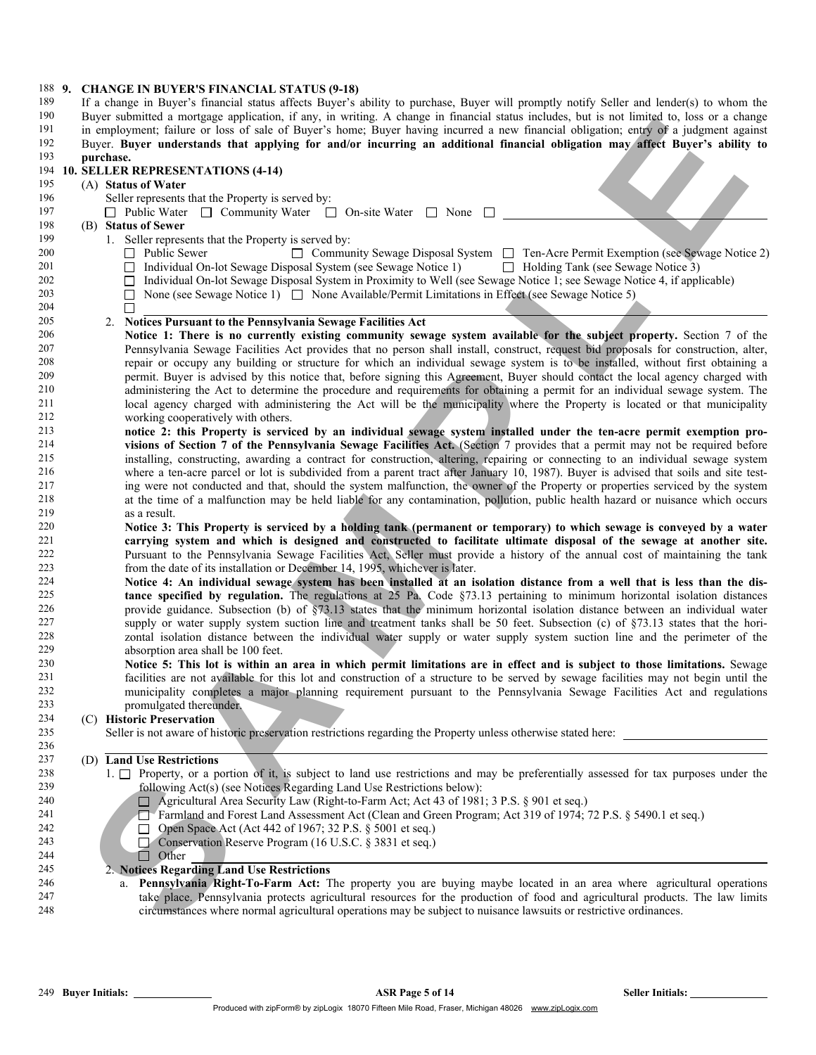| 188 9. |  | <b>CHANGE IN BUYER'S FINANCIAL STATUS (9-18)</b>                                                                                           |
|--------|--|--------------------------------------------------------------------------------------------------------------------------------------------|
| 189    |  | If a change in Buyer's financial status affects Buyer's ability to purchase, Buyer will promptly notify Seller and lender(s) to whom the   |
| 190    |  | Buyer submitted a mortgage application, if any, in writing. A change in financial status includes, but is not limited to, loss or a change |
| 191    |  | in employment; failure or loss of sale of Buyer's home; Buyer having incurred a new financial obligation; entry of a judgment against      |
| 192    |  | Buyer. Buyer understands that applying for and/or incurring an additional financial obligation may affect Buyer's ability to               |
| 193    |  | purchase.                                                                                                                                  |
| 194    |  | 10. SELLER REPRESENTATIONS (4-14)                                                                                                          |
| 195    |  | (A) Status of Water                                                                                                                        |
| 196    |  |                                                                                                                                            |
|        |  | Seller represents that the Property is served by:                                                                                          |
| 197    |  | $\Box$ Public Water $\Box$ Community Water $\Box$ On-site Water $\Box$ None $\Box$                                                         |
| 198    |  | (B) Status of Sewer                                                                                                                        |
| 199    |  | 1. Seller represents that the Property is served by:                                                                                       |
| 200    |  | □ Community Sewage Disposal System □ Ten-Acre Permit Exemption (see Sewage Notice 2)<br>Public Sewer                                       |
| 201    |  | Individual On-lot Sewage Disposal System (see Sewage Notice 1)<br>$\Box$ Holding Tank (see Sewage Notice 3)<br>$\Box$                      |
| 202    |  | Individual On-lot Sewage Disposal System in Proximity to Well (see Sewage Notice 1; see Sewage Notice 4, if applicable)                    |
| 203    |  | None (see Sewage Notice 1) $\Box$ None Available/Permit Limitations in Effect (see Sewage Notice 5)                                        |
| 204    |  |                                                                                                                                            |
| 205    |  | 2. Notices Pursuant to the Pennsylvania Sewage Facilities Act                                                                              |
| 206    |  | Notice 1: There is no currently existing community sewage system available for the subject property. Section 7 of the                      |
| 207    |  | Pennsylvania Sewage Facilities Act provides that no person shall install, construct, request bid proposals for construction, alter,        |
| 208    |  | repair or occupy any building or structure for which an individual sewage system is to be installed, without first obtaining a             |
| 209    |  | permit. Buyer is advised by this notice that, before signing this Agreement, Buyer should contact the local agency charged with            |
| 210    |  | administering the Act to determine the procedure and requirements for obtaining a permit for an individual sewage system. The              |
| 211    |  | local agency charged with administering the Act will be the municipality where the Property is located or that municipality                |
| 212    |  | working cooperatively with others.                                                                                                         |
| 213    |  | notice 2: this Property is serviced by an individual sewage system installed under the ten-acre permit exemption pro-                      |
| 214    |  | visions of Section 7 of the Pennsylvania Sewage Facilities Act. (Section 7 provides that a permit may not be required before               |
| 215    |  | installing, constructing, awarding a contract for construction, altering, repairing or connecting to an individual sewage system           |
| 216    |  |                                                                                                                                            |
|        |  | where a ten-acre parcel or lot is subdivided from a parent tract after January 10, 1987). Buyer is advised that soils and site test-       |
| 217    |  | ing were not conducted and that, should the system malfunction, the owner of the Property or properties serviced by the system             |
| 218    |  | at the time of a malfunction may be held liable for any contamination, pollution, public health hazard or nuisance which occurs            |
| 219    |  | as a result.                                                                                                                               |
| 220    |  | Notice 3: This Property is serviced by a holding tank (permanent or temporary) to which sewage is conveyed by a water                      |
| 221    |  | carrying system and which is designed and constructed to facilitate ultimate disposal of the sewage at another site.                       |
| 222    |  | Pursuant to the Pennsylvania Sewage Facilities Act, Seller must provide a history of the annual cost of maintaining the tank               |
| 223    |  | from the date of its installation or December 14, 1995, whichever is later.                                                                |
| 224    |  | Notice 4: An individual sewage system has been installed at an isolation distance from a well that is less than the dis-                   |
| 225    |  | tance specified by regulation. The regulations at 25 Pa. Code §73.13 pertaining to minimum horizontal isolation distances                  |
| 226    |  | provide guidance. Subsection (b) of $\S$ 73.13 states that the minimum horizontal isolation distance between an individual water           |
| 227    |  | supply or water supply system suction line and treatment tanks shall be 50 feet. Subsection (c) of §73.13 states that the hori-            |
| 228    |  | zontal isolation distance between the individual water supply or water supply system suction line and the perimeter of the                 |
| 229    |  | absorption area shall be 100 feet.                                                                                                         |
| 230    |  | Notice 5: This lot is within an area in which permit limitations are in effect and is subject to those limitations. Sewage                 |
| 231    |  | facilities are not available for this lot and construction of a structure to be served by sewage facilities may not begin until the        |
| 232    |  | municipality completes a major planning requirement pursuant to the Pennsylvania Sewage Facilities Act and regulations                     |
| 233    |  | promulgated thereunder.                                                                                                                    |
| 234    |  | (C) Historic Preservation                                                                                                                  |
| 235    |  | Seller is not aware of historic preservation restrictions regarding the Property unless otherwise stated here:                             |
| 236    |  |                                                                                                                                            |
| 237    |  | (D) Land Use Restrictions                                                                                                                  |
| 238    |  | 1. $\Box$ Property, or a portion of it, is subject to land use restrictions and may be preferentially assessed for tax purposes under the  |
| 239    |  | following Act(s) (see Notices Regarding Land Use Restrictions below):                                                                      |
| 240    |  | $\Box$ Agricultural Area Security Law (Right-to-Farm Act; Act 43 of 1981; 3 P.S. § 901 et seq.)                                            |
| 241    |  | Farmland and Forest Land Assessment Act (Clean and Green Program; Act 319 of 1974; 72 P.S. § 5490.1 et seq.)                               |
| 242    |  | Open Space Act (Act 442 of 1967; 32 P.S. § 5001 et seq.)                                                                                   |
| 243    |  | □ Conservation Reserve Program (16 U.S.C. § 3831 et seq.)                                                                                  |
| 244    |  | $\Box$ Other                                                                                                                               |
| 245    |  | 2. Notices Regarding Land Use Restrictions                                                                                                 |
|        |  |                                                                                                                                            |
| 246    |  | a. Pennsylvania Right-To-Farm Act: The property you are buying maybe located in an area where agricultural operations                      |
| 247    |  | take place. Pennsylvania protects agricultural resources for the production of food and agricultural products. The law limits              |
| 248    |  | circumstances where normal agricultural operations may be subject to nuisance lawsuits or restrictive ordinances.                          |
|        |  |                                                                                                                                            |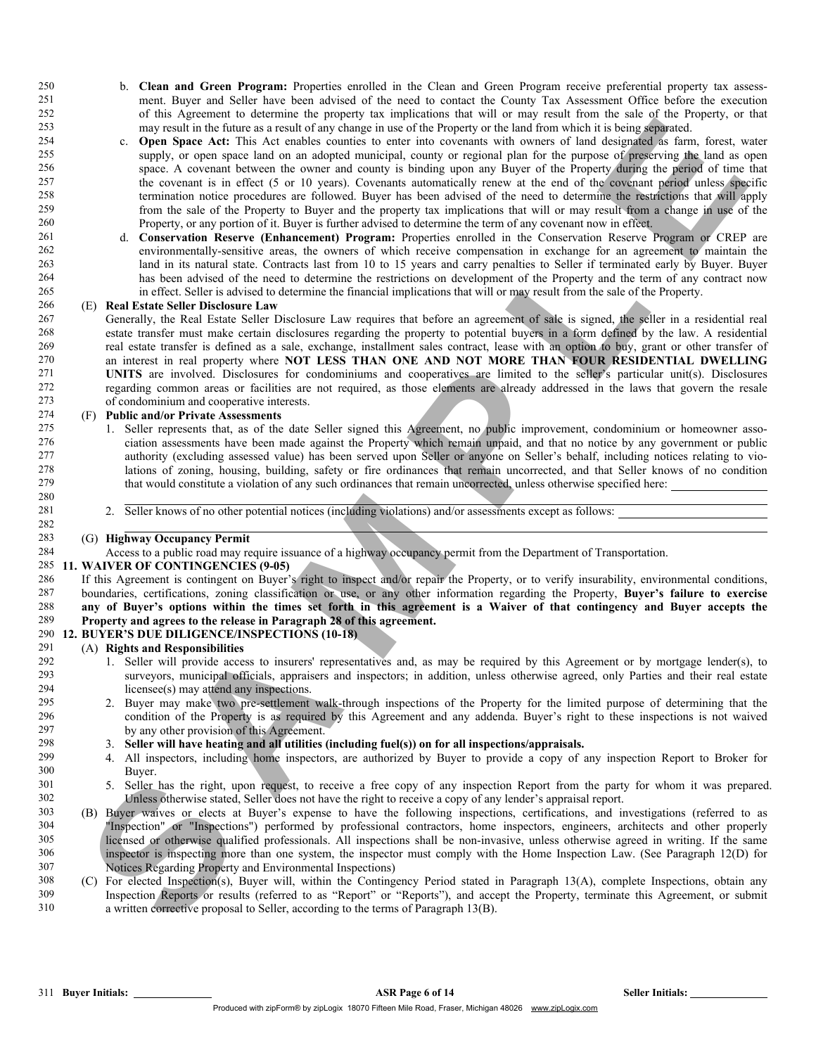- 250 b. Clean and Green Program: Properties enrolled in the Clean and Green Program receive preferential property tax assess-<br>251 b The Buyer and Seller have been advised of the need to contact the County Tax Assessment Off 251 ment. Buyer and Seller have been advised of the need to contact the County Tax Assessment Office before the execution 252 of this Agreement to determine the property tax implications that will or may result from the sale of the Property, or that 253 may result in the future as a result of any change in use of the Property or the land from which it is being separated.<br>254 c. **Onen Space Act:** This Act enables counties to enter into covenants with owners of land des
- c. Open Space Act: This Act enables counties to enter into covenants with owners of land designated as farm, forest, water 255 supply, or open space land on an adopted municipal, county or regional plan for the purpose of preserving the land as open 256 space. A covenant between the owner and county is binding upon any Buyer of the Property during the period of time that<br>257 the covenant is in effect (5 or 10 years). Covenants automatically renew at the end of the cov 257 the covenant is in effect (5 or 10 years). Covenants automatically renew at the end of the covenant period unless specific<br>258 termination notice procedures are followed. Buyer has been advised of the need to determine 258 termination notice procedures are followed. Buyer has been advised of the need to determine the restrictions that will apply 259 from the sale of the Property to Buyer and the property tax implications that will or may result from a change in use of the 260 Property or any portion of it. Buyer is further advised to determine the term of any cove 260 Property, or any portion of it. Buyer is further advised to determine the term of any covenant now in effect.<br>261 **Conservation Reserve (Enhancement) Program:** Properties enrolled in the Conservation Reserve F
- 261 d. Conservation Reserve (Enhancement) Program: Properties enrolled in the Conservation Reserve Program or CREP are 262 environmentally-sensitive areas, the owners of which receive compensation in exchange for an agreement to maintain the 263 land in its natural state. Contracts last from 10 to 15 years and carry penalties to Seller if terminated early by Buyer. Buyer<br>264 has been advised of the need to determine the restrictions on development of the Prope 264 has been advised of the need to determine the restrictions on development of the Property and the term of any contract now<br>265 in effect. Seller is advised to determine the financial implications that will or may resul in effect. Seller is advised to determine the financial implications that will or may result from the sale of the Property.

### 266 (E) Real Estate Seller Disclosure Law

IT IS a state of the control of external in the control of the control of the control of the control of the control of the control of the control of the control of the control of the control of the control of the control 267 Generally, the Real Estate Seller Disclosure Law requires that before an agreement of sale is signed, the seller in a residential real 268 estate transfer must make certain disclosures regarding the property to potenti 268 estate transfer must make certain disclosures regarding the property to potential buyers in a form defined by the law. A residential real estate transfer is defined as a sale, exchange, installment sales contract, lease with an option to buy, grant or other transfer of  $270$  an interest in real property where **NOT LESS THAN ONE AND NOT MORE THAN FOUR RE** 270 an interest in real property where **NOT LESS THAN ONE AND NOT MORE THAN FOUR RESIDENTIAL DWELLING**<br>271 **UNITS** are involved. Disclosures for condominiums and cooperatives are limited to the seller's particular unit(s). 271 UNITS are involved. Disclosures for condominiums and cooperatives are limited to the seller's particular unit(s). Disclosures 272 regarding common areas or facilities are not required, as those elements are already addressed in the laws that govern the resale 273 of condominium and cooperative interests.

## 274 (F) **Public and/or Private Assessments**<br>275 1 Seller represents that as of the

- 1. Seller represents that, as of the date Seller signed this Agreement, no public improvement, condominium or homeowner asso-276 ciation assessments have been made against the Property which remain unpaid, and that no notice by any government or public 277 authority (excluding assessed value) has been served upon Seller or anyone on Seller's behalf, including notices relating to vio-<br>278 lations of zoning bousing building safety or fire ordinances that remain uncorrected 278 lations of zoning, housing, building, safety or fire ordinances that remain uncorrected, and that Seller knows of no condition 279 that would constitute a violation of any such ordinances that remain uncorrected unless that would constitute a violation of any such ordinances that remain uncorrected, unless otherwise specified here: 280
- 281 2. Seller knows of no other potential notices (including violations) and/or assessments except as follows:

### 283 (G) Highway Occupancy Permit

282

284 Access to a public road may require issuance of a highway occupancy permit from the Department of Transportation.

### 285 11. WAIVER OF CONTINGENCIES (9-05)

286 If this Agreement is contingent on Buyer's right to inspect and/or repair the Property, or to verify insurability, environmental conditions, 287 boundaries, certifications, zoning classification or use, or any other information regarding the Property, Buyer's failure to exercise<br>288 any of Buyer's ontions within the times set forth in this agreement is a Waiver 288 any of Buyer's options within the times set forth in this agreement is a Waiver of that contingency and Buyer accepts the 289 Property and agrees to the release in Paragraph 28 of this agreement. Property and agrees to the release in Paragraph 28 of this agreement.

### 290 12. BUYER'S DUE DILIGENCE/INSPECTIONS (10-18)

## 291 (A) **Rights and Responsibilities**<br>292 1. Seller will provide acce

- 292 1. Seller will provide access to insurers' representatives and, as may be required by this Agreement or by mortgage lender(s), to 293 surveyors, municipal officials, appraisers and inspectors; in addition, unless otherwise agreed, only Parties and their real estate 294 licensee(s) may attend any inspections.<br>295 2 Buyer may make two pre-settlement
- 295 2. Buyer may make two pre-settlement walk-through inspections of the Property for the limited purpose of determining that the 296 condition of the Property is as required by this Agreement and any addenda. Buyer's righ 296 condition of the Property is as required by this Agreement and any addenda. Buyer's right to these inspections is not waived 297 by any other provision of this Agreement.
- 298 3. Seller will have heating and all utilities (including fuel(s)) on for all inspections/appraisals.<br>299 4 All inspectors, including home inspectors are authorized by Buyer to provide a copy of a
- 299 4. All inspectors, including home inspectors, are authorized by Buyer to provide a copy of any inspection Report to Broker for Buyer.
- 301 5. Seller has the right, upon request, to receive a free copy of any inspection Report from the party for whom it was prepared.<br>302 Unless otherwise stated. Seller does not have the right to receive a copy of any lende 302 Unless otherwise stated, Seller does not have the right to receive a copy of any lender's appraisal report.<br>303 (B) Buyer waives or elects at Buyer's expense to have the following inspections, certifications, and in
- 303 (B) Buyer waives or elects at Buyer's expense to have the following inspections, certifications, and investigations (referred to as 304 "Inspection" or "Inspections") performed by professional contractors, home inspectors, engineers, architects and other properly 305 licensed or otherwise qualified professionals. All inspections shall be non-invasive, unless otherwise agreed in writing. If the same<br>306 inspector is inspecting more than one system, the inspector must comply with the 306 inspector is inspecting more than one system, the inspector must comply with the Home Inspection Law. (See Paragraph 12(D) for Notices Regarding Property and Environmental Inspections) Notices Regarding Property and Environmental Inspections)
- 308 (C) For elected Inspection(s), Buyer will, within the Contingency Period stated in Paragraph 13(A), complete Inspections, obtain any 309 Inspection Reports or results (referred to as "Report" or "Reports"), and accept 309 Inspection Reports or results (referred to as "Report" or "Reports"), and accept the Property, terminate this Agreement, or submit 310 a written corrective proposal to Seller, according to the terms of Paragraph 13(B).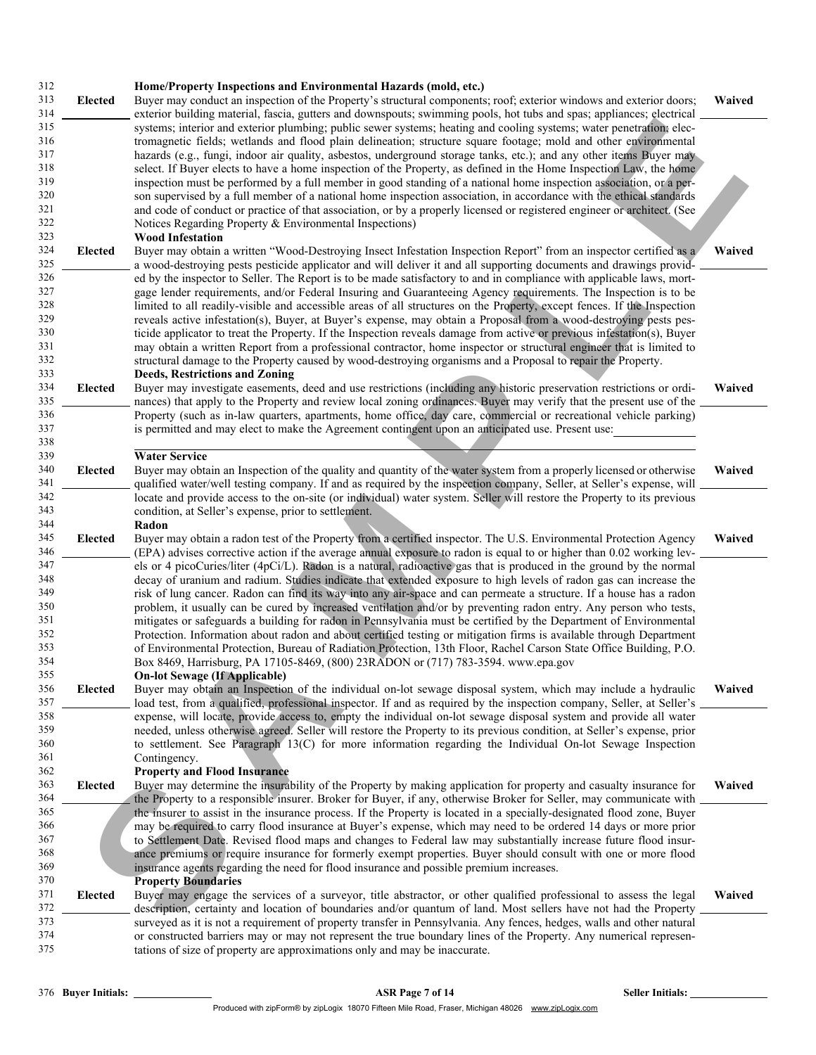| 312<br>313<br>314                                           | <b>Elected</b> | Home/Property Inspections and Environmental Hazards (mold, etc.)<br>Buyer may conduct an inspection of the Property's structural components; roof; exterior windows and exterior doors;<br>exterior building material, fascia, gutters and downspouts; swimming pools, hot tubs and spas; appliances; electrical                                                                                                                                                                                                                                                                                                                                                                                                                                                                                                                                                                                                                                      | Waived |
|-------------------------------------------------------------|----------------|-------------------------------------------------------------------------------------------------------------------------------------------------------------------------------------------------------------------------------------------------------------------------------------------------------------------------------------------------------------------------------------------------------------------------------------------------------------------------------------------------------------------------------------------------------------------------------------------------------------------------------------------------------------------------------------------------------------------------------------------------------------------------------------------------------------------------------------------------------------------------------------------------------------------------------------------------------|--------|
| 315<br>316<br>317<br>318<br>319<br>320<br>321<br>322<br>323 |                | systems; interior and exterior plumbing; public sewer systems; heating and cooling systems; water penetration; elec-<br>tromagnetic fields; wetlands and flood plain delineation; structure square footage; mold and other environmental<br>hazards (e.g., fungi, indoor air quality, asbestos, underground storage tanks, etc.); and any other items Buyer may<br>select. If Buyer elects to have a home inspection of the Property, as defined in the Home Inspection Law, the home<br>inspection must be performed by a full member in good standing of a national home inspection association, or a per-<br>son supervised by a full member of a national home inspection association, in accordance with the ethical standards<br>and code of conduct or practice of that association, or by a properly licensed or registered engineer or architect. (See<br>Notices Regarding Property & Environmental Inspections)<br><b>Wood Infestation</b> |        |
| 324<br>325                                                  | Elected        | Buyer may obtain a written "Wood-Destroying Insect Infestation Inspection Report" from an inspector certified as a<br>a wood-destroying pests pesticide applicator and will deliver it and all supporting documents and drawings provid-                                                                                                                                                                                                                                                                                                                                                                                                                                                                                                                                                                                                                                                                                                              | Waived |
| 326<br>327<br>328<br>329<br>330<br>331<br>332               |                | ed by the inspector to Seller. The Report is to be made satisfactory to and in compliance with applicable laws, mort-<br>gage lender requirements, and/or Federal Insuring and Guaranteeing Agency requirements. The Inspection is to be<br>limited to all readily-visible and accessible areas of all structures on the Property, except fences. If the Inspection<br>reveals active infestation(s), Buyer, at Buyer's expense, may obtain a Proposal from a wood-destroying pests pes-<br>ticide applicator to treat the Property. If the Inspection reveals damage from active or previous infestation(s), Buyer<br>may obtain a written Report from a professional contractor, home inspector or structural engineer that is limited to<br>structural damage to the Property caused by wood-destroying organisms and a Proposal to repair the Property.                                                                                           |        |
| 333<br>334<br>335                                           | Elected        | Deeds, Restrictions and Zoning<br>Buyer may investigate easements, deed and use restrictions (including any historic preservation restrictions or ordi-<br>nances) that apply to the Property and review local zoning ordinances. Buyer may verify that the present use of the                                                                                                                                                                                                                                                                                                                                                                                                                                                                                                                                                                                                                                                                        | Waived |
| 336<br>337<br>338<br>339                                    |                | Property (such as in-law quarters, apartments, home office, day care, commercial or recreational vehicle parking)<br>is permitted and may elect to make the Agreement contingent upon an anticipated use. Present use:<br><b>Water Service</b>                                                                                                                                                                                                                                                                                                                                                                                                                                                                                                                                                                                                                                                                                                        |        |
| 340<br>341                                                  | <b>Elected</b> | Buyer may obtain an Inspection of the quality and quantity of the water system from a properly licensed or otherwise<br>qualified water/well testing company. If and as required by the inspection company, Seller, at Seller's expense, will                                                                                                                                                                                                                                                                                                                                                                                                                                                                                                                                                                                                                                                                                                         | Waived |
| 342<br>343<br>344                                           |                | locate and provide access to the on-site (or individual) water system. Seller will restore the Property to its previous<br>condition, at Seller's expense, prior to settlement.<br>Radon                                                                                                                                                                                                                                                                                                                                                                                                                                                                                                                                                                                                                                                                                                                                                              |        |
| 345<br>346                                                  | <b>Elected</b> | Buyer may obtain a radon test of the Property from a certified inspector. The U.S. Environmental Protection Agency<br>(EPA) advises corrective action if the average annual exposure to radon is equal to or higher than 0.02 working lev-                                                                                                                                                                                                                                                                                                                                                                                                                                                                                                                                                                                                                                                                                                            | Waived |
| 347<br>348<br>349<br>350<br>351<br>352<br>353<br>354        |                | els or 4 picoCuries/liter (4pCi/L). Radon is a natural, radioactive gas that is produced in the ground by the normal<br>decay of uranium and radium. Studies indicate that extended exposure to high levels of radon gas can increase the<br>risk of lung cancer. Radon can find its way into any air-space and can permeate a structure. If a house has a radon<br>problem, it usually can be cured by increased ventilation and/or by preventing radon entry. Any person who tests,<br>mitigates or safeguards a building for radon in Pennsylvania must be certified by the Department of Environmental<br>Protection. Information about radon and about certified testing or mitigation firms is available through Department<br>of Environmental Protection, Bureau of Radiation Protection, 13th Floor, Rachel Carson State Office Building, P.O.<br>Box 8469, Harrisburg, PA 17105-8469, (800) 23RADON or (717) 783-3594. www.epa.gov          |        |
| 355<br>356<br>357                                           | Elected        | <b>On-lot Sewage (If Applicable)</b><br>Buyer may obtain an Inspection of the individual on-lot sewage disposal system, which may include a hydraulic<br>load test, from a qualified, professional inspector. If and as required by the inspection company, Seller, at Seller's                                                                                                                                                                                                                                                                                                                                                                                                                                                                                                                                                                                                                                                                       | Waived |
| 358<br>359<br>360<br>361                                    |                | expense, will locate, provide access to, empty the individual on-lot sewage disposal system and provide all water<br>needed, unless otherwise agreed. Seller will restore the Property to its previous condition, at Seller's expense, prior<br>to settlement. See Paragraph 13(C) for more information regarding the Individual On-lot Sewage Inspection<br>Contingency.                                                                                                                                                                                                                                                                                                                                                                                                                                                                                                                                                                             |        |
| 362<br>363<br>364                                           | Elected        | <b>Property and Flood Insurance</b><br>Buyer may determine the insurability of the Property by making application for property and casualty insurance for<br>the Property to a responsible insurer. Broker for Buyer, if any, otherwise Broker for Seller, may communicate with                                                                                                                                                                                                                                                                                                                                                                                                                                                                                                                                                                                                                                                                       | Waived |
| 365<br>366<br>367<br>368                                    |                | the insurer to assist in the insurance process. If the Property is located in a specially-designated flood zone, Buyer<br>may be required to carry flood insurance at Buyer's expense, which may need to be ordered 14 days or more prior<br>to Settlement Date. Revised flood maps and changes to Federal law may substantially increase future flood insur-<br>ance premiums or require insurance for formerly exempt properties. Buyer should consult with one or more flood                                                                                                                                                                                                                                                                                                                                                                                                                                                                       |        |
| 369<br>370<br>371                                           | Elected        | insurance agents regarding the need for flood insurance and possible premium increases.<br><b>Property Boundaries</b><br>Buyer may engage the services of a surveyor, title abstractor, or other qualified professional to assess the legal                                                                                                                                                                                                                                                                                                                                                                                                                                                                                                                                                                                                                                                                                                           | Waived |
| 372<br>373<br>374<br>375                                    |                | description, certainty and location of boundaries and/or quantum of land. Most sellers have not had the Property<br>surveyed as it is not a requirement of property transfer in Pennsylvania. Any fences, hedges, walls and other natural<br>or constructed barriers may or may not represent the true boundary lines of the Property. Any numerical represen-<br>tations of size of property are approximations only and may be inaccurate.                                                                                                                                                                                                                                                                                                                                                                                                                                                                                                          |        |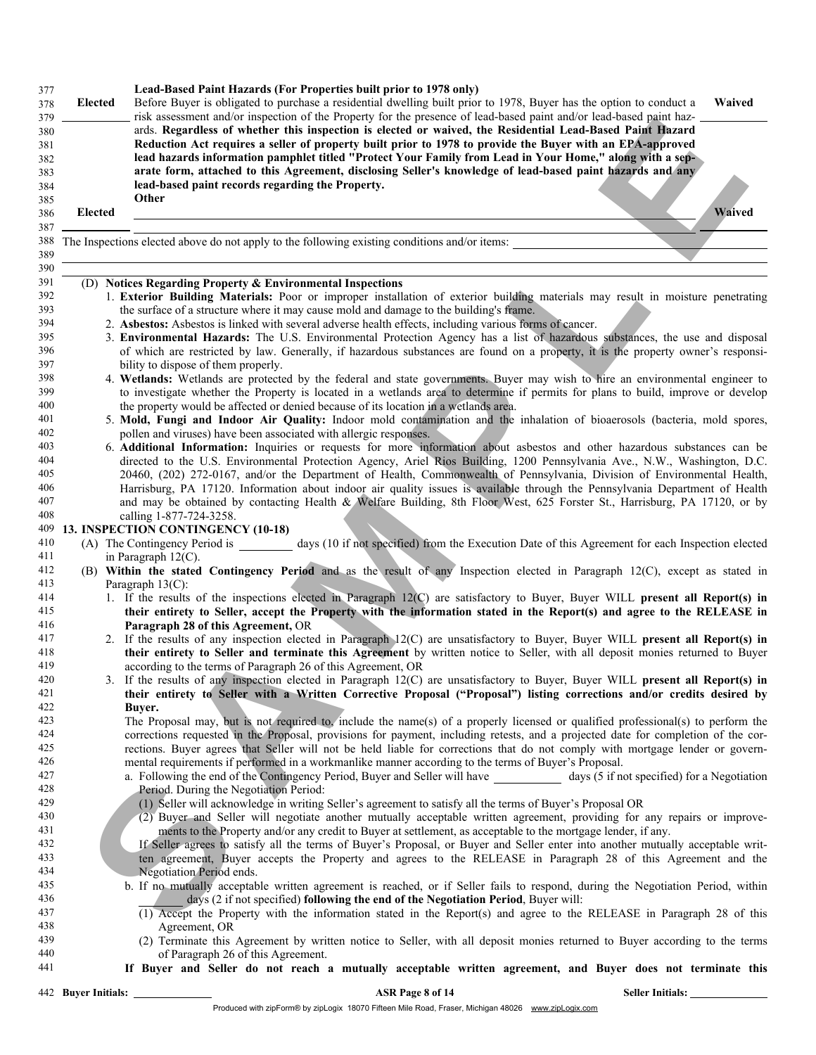| 377<br>378<br>379               | Elected             | Lead-Based Paint Hazards (For Properties built prior to 1978 only)<br>Before Buyer is obligated to purchase a residential dwelling built prior to 1978, Buyer has the option to conduct a<br>Waived<br>risk assessment and/or inspection of the Property for the presence of lead-based paint and/or lead-based paint haz-                                                                                                                                                                          |
|---------------------------------|---------------------|-----------------------------------------------------------------------------------------------------------------------------------------------------------------------------------------------------------------------------------------------------------------------------------------------------------------------------------------------------------------------------------------------------------------------------------------------------------------------------------------------------|
| 380<br>381<br>382<br>383<br>384 |                     | ards. Regardless of whether this inspection is elected or waived, the Residential Lead-Based Paint Hazard<br>Reduction Act requires a seller of property built prior to 1978 to provide the Buyer with an EPA-approved<br>lead hazards information pamphlet titled "Protect Your Family from Lead in Your Home," along with a sep-<br>arate form, attached to this Agreement, disclosing Seller's knowledge of lead-based paint hazards and any<br>lead-based paint records regarding the Property. |
| 385<br>386                      | Elected             | Other<br>Waived                                                                                                                                                                                                                                                                                                                                                                                                                                                                                     |
| 387<br>388                      |                     | The Inspections elected above do not apply to the following existing conditions and/or items:                                                                                                                                                                                                                                                                                                                                                                                                       |
| 389<br>390                      |                     |                                                                                                                                                                                                                                                                                                                                                                                                                                                                                                     |
| 391                             |                     | (D) Notices Regarding Property & Environmental Inspections                                                                                                                                                                                                                                                                                                                                                                                                                                          |
| 392                             |                     | 1. Exterior Building Materials: Poor or improper installation of exterior building materials may result in moisture penetrating                                                                                                                                                                                                                                                                                                                                                                     |
| 393                             |                     | the surface of a structure where it may cause mold and damage to the building's frame.                                                                                                                                                                                                                                                                                                                                                                                                              |
| 394                             |                     | 2. Asbestos: Asbestos is linked with several adverse health effects, including various forms of cancer.                                                                                                                                                                                                                                                                                                                                                                                             |
| 395                             |                     | 3. Environmental Hazards: The U.S. Environmental Protection Agency has a list of hazardous substances, the use and disposal<br>of which are restricted by law. Generally, if hazardous substances are found on a property, it is the property owner's responsi-                                                                                                                                                                                                                                     |
| 396<br>397                      |                     |                                                                                                                                                                                                                                                                                                                                                                                                                                                                                                     |
| 398                             |                     | bility to dispose of them properly.<br>4. Wetlands: Wetlands are protected by the federal and state governments. Buyer may wish to hire an environmental engineer to                                                                                                                                                                                                                                                                                                                                |
| 399                             |                     | to investigate whether the Property is located in a wetlands area to determine if permits for plans to build, improve or develop                                                                                                                                                                                                                                                                                                                                                                    |
| 400                             |                     | the property would be affected or denied because of its location in a wetlands area.                                                                                                                                                                                                                                                                                                                                                                                                                |
| 401                             |                     | 5. Mold, Fungi and Indoor Air Quality: Indoor mold contamination and the inhalation of bioaerosols (bacteria, mold spores,                                                                                                                                                                                                                                                                                                                                                                          |
| 402                             |                     | pollen and viruses) have been associated with allergic responses.                                                                                                                                                                                                                                                                                                                                                                                                                                   |
| 403                             |                     | 6. Additional Information: Inquiries or requests for more information about asbestos and other hazardous substances can be                                                                                                                                                                                                                                                                                                                                                                          |
| 404                             |                     | directed to the U.S. Environmental Protection Agency, Ariel Rios Building, 1200 Pennsylvania Ave., N.W., Washington, D.C.                                                                                                                                                                                                                                                                                                                                                                           |
| 405                             |                     | 20460, (202) 272-0167, and/or the Department of Health, Commonwealth of Pennsylvania, Division of Environmental Health,                                                                                                                                                                                                                                                                                                                                                                             |
| 406                             |                     | Harrisburg, PA 17120. Information about indoor air quality issues is available through the Pennsylvania Department of Health                                                                                                                                                                                                                                                                                                                                                                        |
| 407                             |                     | and may be obtained by contacting Health & Welfare Building, 8th Floor West, 625 Forster St., Harrisburg, PA 17120, or by                                                                                                                                                                                                                                                                                                                                                                           |
| 408                             |                     | calling 1-877-724-3258.                                                                                                                                                                                                                                                                                                                                                                                                                                                                             |
| 409                             |                     | 13. INSPECTION CONTINGENCY (10-18)                                                                                                                                                                                                                                                                                                                                                                                                                                                                  |
| 410                             |                     | (A) The Contingency Period is days (10 if not specified) from the Execution Date of this Agreement for each Inspection elected                                                                                                                                                                                                                                                                                                                                                                      |
| 411                             |                     | in Paragraph $12(C)$ .                                                                                                                                                                                                                                                                                                                                                                                                                                                                              |
| 412                             |                     | (B) Within the stated Contingency Period and as the result of any Inspection elected in Paragraph 12(C), except as stated in                                                                                                                                                                                                                                                                                                                                                                        |
| 413                             |                     | Paragraph $13(C)$ :                                                                                                                                                                                                                                                                                                                                                                                                                                                                                 |
| 414                             |                     | 1. If the results of the inspections elected in Paragraph 12(C) are satisfactory to Buyer, Buyer WILL present all Report(s) in                                                                                                                                                                                                                                                                                                                                                                      |
| 415                             |                     | their entirety to Seller, accept the Property with the information stated in the Report(s) and agree to the RELEASE in                                                                                                                                                                                                                                                                                                                                                                              |
| 416<br>417                      |                     | Paragraph 28 of this Agreement, OR<br>2. If the results of any inspection elected in Paragraph 12(C) are unsatisfactory to Buyer, Buyer WILL present all Report(s) in                                                                                                                                                                                                                                                                                                                               |
| 418                             |                     | their entirety to Seller and terminate this Agreement by written notice to Seller, with all deposit monies returned to Buyer                                                                                                                                                                                                                                                                                                                                                                        |
| 419                             |                     | according to the terms of Paragraph 26 of this Agreement, OR                                                                                                                                                                                                                                                                                                                                                                                                                                        |
| 420                             |                     | 3. If the results of any inspection elected in Paragraph 12(C) are unsatisfactory to Buyer, Buyer WILL present all Report(s) in                                                                                                                                                                                                                                                                                                                                                                     |
| 421                             |                     | their entirety to Seller with a Written Corrective Proposal ("Proposal") listing corrections and/or credits desired by                                                                                                                                                                                                                                                                                                                                                                              |
| 422                             |                     | Buyer.                                                                                                                                                                                                                                                                                                                                                                                                                                                                                              |
| 423                             |                     | The Proposal may, but is not required to, include the name(s) of a properly licensed or qualified professional(s) to perform the                                                                                                                                                                                                                                                                                                                                                                    |
| 424                             |                     | corrections requested in the Proposal, provisions for payment, including retests, and a projected date for completion of the cor-                                                                                                                                                                                                                                                                                                                                                                   |
| 425                             |                     | rections. Buyer agrees that Seller will not be held liable for corrections that do not comply with mortgage lender or govern-                                                                                                                                                                                                                                                                                                                                                                       |
| 426                             |                     | mental requirements if performed in a workmanlike manner according to the terms of Buyer's Proposal.                                                                                                                                                                                                                                                                                                                                                                                                |
| 427                             |                     | a. Following the end of the Contingency Period, Buyer and Seller will have ___________ days (5 if not specified) for a Negotiation                                                                                                                                                                                                                                                                                                                                                                  |
| 428                             |                     | Period. During the Negotiation Period:                                                                                                                                                                                                                                                                                                                                                                                                                                                              |
| 429                             |                     | (1) Seller will acknowledge in writing Seller's agreement to satisfy all the terms of Buyer's Proposal OR                                                                                                                                                                                                                                                                                                                                                                                           |
| 430                             |                     | (2) Buyer and Seller will negotiate another mutually acceptable written agreement, providing for any repairs or improve-                                                                                                                                                                                                                                                                                                                                                                            |
| 431                             |                     | ments to the Property and/or any credit to Buyer at settlement, as acceptable to the mortgage lender, if any.                                                                                                                                                                                                                                                                                                                                                                                       |
| 432                             |                     | If Seller agrees to satisfy all the terms of Buyer's Proposal, or Buyer and Seller enter into another mutually acceptable writ-                                                                                                                                                                                                                                                                                                                                                                     |
| 433                             |                     | ten agreement, Buyer accepts the Property and agrees to the RELEASE in Paragraph 28 of this Agreement and the                                                                                                                                                                                                                                                                                                                                                                                       |
| 434                             |                     | Negotiation Period ends.                                                                                                                                                                                                                                                                                                                                                                                                                                                                            |
| 435                             |                     | b. If no mutually acceptable written agreement is reached, or if Seller fails to respond, during the Negotiation Period, within                                                                                                                                                                                                                                                                                                                                                                     |
| 436                             |                     | days (2 if not specified) following the end of the Negotiation Period, Buyer will:                                                                                                                                                                                                                                                                                                                                                                                                                  |
| 437                             |                     | (1) Accept the Property with the information stated in the Report(s) and agree to the RELEASE in Paragraph 28 of this                                                                                                                                                                                                                                                                                                                                                                               |
| 438<br>439                      |                     | Agreement, OR<br>(2) Terminate this Agreement by written notice to Seller, with all deposit monies returned to Buyer according to the terms                                                                                                                                                                                                                                                                                                                                                         |
| 440                             |                     | of Paragraph 26 of this Agreement.                                                                                                                                                                                                                                                                                                                                                                                                                                                                  |
| 441                             |                     | If Buyer and Seller do not reach a mutually acceptable written agreement, and Buyer does not terminate this                                                                                                                                                                                                                                                                                                                                                                                         |
|                                 |                     |                                                                                                                                                                                                                                                                                                                                                                                                                                                                                                     |
|                                 | 442 Buyer Initials: | ASR Page 8 of 14<br><b>Seller Initials:</b>                                                                                                                                                                                                                                                                                                                                                                                                                                                         |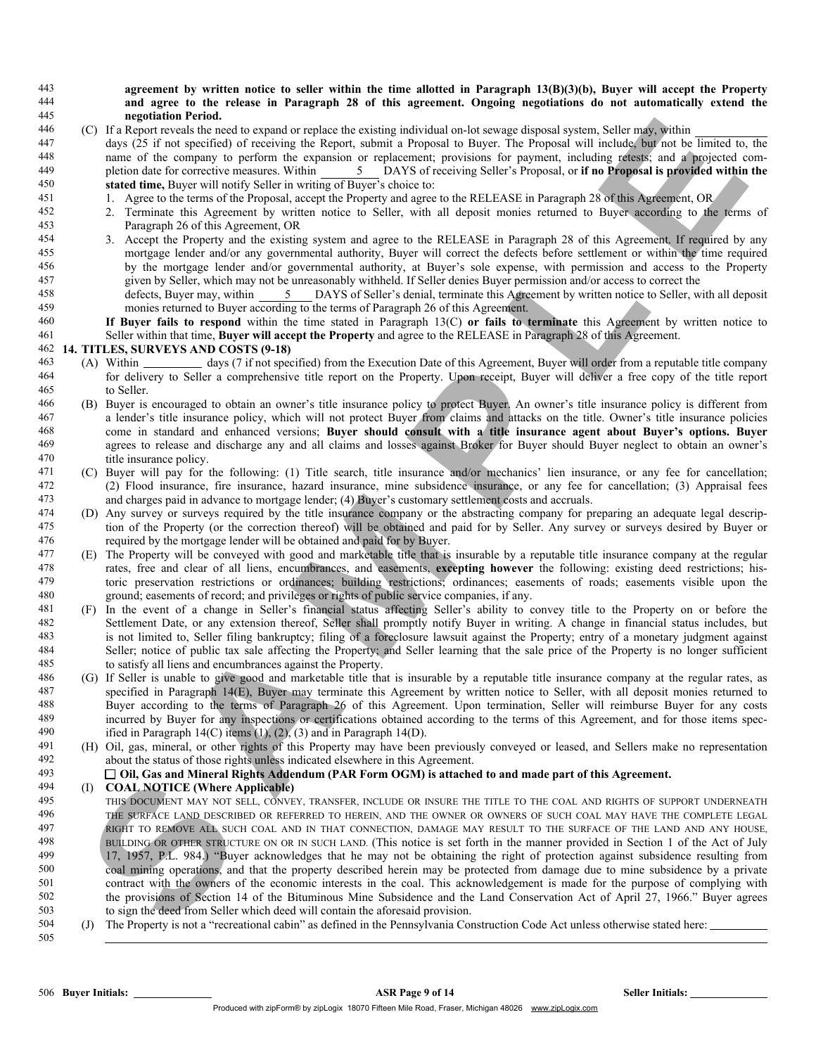### 443 agreement by written notice to seller within the time allotted in Paragraph 13(B)(3)(b), Buyer will accept the Property 444 and agree to the release in Paragraph 28 of this agreement. Ongoing negotiations do not automatically extend the 445 negotiation Period.

446 (C) If a Report reveals the need to expand or replace the existing individual on-lot sewage disposal system, Seller may, within

447 days (25 if not specified) of receiving the Report, submit a Proposal to Buyer. The Proposal will include, but not be limited to, the 448 name of the company to perform the expansion or replacement; provisions for payment, including retests; and a projected com-449 pletion date for corrective measures. Within 5 DAYS of receiving Seller's Proposal, or if no Proposal is provided within the 450 stated time, Buyer will notify Seller in writing of Buyer's choice to:

- 451 1. Agree to the terms of the Proposal, accept the Property and agree to the RELEASE in Paragraph 28 of this Agreement, OR<br>452 2 Terminate this Agreement by written notice to Seller, with all denosit monies returned to
- 452 2. Terminate this Agreement by written notice to Seller, with all deposit monies returned to Buyer according to the terms of 453 Paragraph 26 of this Agreement, OR
- 454 3. Accept the Property and the existing system and agree to the RELEASE in Paragraph 28 of this Agreement. If required by any 455 mortgage lender and/or any governmental authority, Buyer will correct the defects before settlement or within the time required 456 by the mortgage lender and/or governmental authority, at Buyer's sole expense, with permission and access to the Property 457 given by Seller, which may not be unreasonably withheld. If Seller denies Buyer permission and/or access to correct the
- 458 defects, Buyer may, within 5 DAYS of Seller's denial, terminate this Agreement by written notice to Seller, with all deposit 459 monies returned to Buyer according to the terms of Paragraph 26 of this Agreement.
- 460 If Buyer fails to respond within the time stated in Paragraph 13(C) or fails to terminate this Agreement by written notice to 461 Seller within that time, **Buyer will accept the Property** and agree to the RELEASE in Paragraph 28 of this Agreement.

### 462 14. TITLES, SURVEYS AND COSTS (9-18)

- 463 (A) Within days (7 if not specified) from the Execution Date of this Agreement, Buyer will order from a reputable title company 464 for delivery to Seller a comprehensive title report on the Property. Upon receipt, Buyer will deliver a free copy of the title report 465 to Seller.
- 466 (B) Buyer is encouraged to obtain an owner's title insurance policy to protect Buyer. An owner's title insurance policy is different from 467 a lender's title insurance policy, which will not protect Buyer from claims and attacks on the title. Owner's title insurance policies <sup>468</sup> come in standard and enhanced versions; **Buyer should consult with a title insurance agent about Buyer's options. Buyer**<br><sup>469</sup> agrees to release and discharge any and all claims and losses against Broker for Buyer sh agrees to release and discharge any and all claims and losses against Broker for Buyer should Buyer neglect to obtain an owner's 470 title insurance policy.
- 471 (C) Buyer will pay for the following: (1) Title search, title insurance and/or mechanics' lien insurance, or any fee for cancellation; 472 (2) Flood insurance, fire insurance, hazard insurance, mine subsidence insurance, or any fee for cancellation; (3) Appraisal fees and charges paid in advance to mortgage lender: (4) Buyer's customary settlement costs a and charges paid in advance to mortgage lender; (4) Buyer's customary settlement costs and accruals.
- 474 (D) Any survey or surveys required by the title insurance company or the abstracting company for preparing an adequate legal descrip-475 tion of the Property (or the correction thereof) will be obtained and paid for by Seller. Any survey or surveys desired by Buyer or<br>476 required by the mortgage lender will be obtained and paid for by Buyer required by the mortgage lender will be obtained and paid for by Buyer.
- 477 (E) The Property will be conveyed with good and marketable title that is insurable by a reputable title insurance company at the regular 478 rates, free and clear of all liens, encumbrances, and easements, excepting however the following: existing deed restrictions; his-479 toric preservation restrictions or ordinances; building restrictions, ordinances; easements of roads; easements visible upon the assements of record: and privileges or rights of public service companies if any ground; easements of record; and privileges or rights of public service companies, if any.
- 481 (F) In the event of a change in Seller's financial status affecting Seller's ability to convey title to the Property on or before the 482 Settlement Date, or any extension thereof, Seller shall promptly notify Buyer in writing. A change in financial status includes, but<br>483 is not limited to. Seller filing bankruptcy: filing of a foreclosure lawsuit agai is not limited to, Seller filing bankruptcy; filing of a foreclosure lawsuit against the Property; entry of a monetary judgment against 484 Seller; notice of public tax sale affecting the Property; and Seller learning that the sale price of the Property is no longer sufficient 485 to satisfy all liens and encumbrances against the Property.
- 486 (G) If Seller is unable to give good and marketable title that is insurable by a reputable title insurance company at the regular rates, as<br>487 specified in Paragraph 14(F). Buyer may terminate this Agreement by writte 487 specified in Paragraph 14(E), Buyer may terminate this Agreement by written notice to Seller, with all deposit monies returned to 488 Buyer according to the terms of Paragraph 26 of this Agreement Upon termination. Sel 488 Buyer according to the terms of Paragraph 26 of this Agreement. Upon termination, Seller will reimburse Buyer for any costs incurred by Buyer for any inspections or certifications obtained according to the terms of thi 489 incurred by Buyer for any inspections or certifications obtained according to the terms of this Agreement, and for those items spec-<br>490 ified in Paragraph 14(C) items (1) (2) (3) and in Paragraph 14(D) 490 ified in Paragraph 14(C) items  $(1)$ ,  $(2)$ ,  $(3)$  and in Paragraph 14(D).<br>491 (H) Oil gas mineral or other rights of this Property may have been
- 491 (H) Oil, gas, mineral, or other rights of this Property may have been previously conveyed or leased, and Sellers make no representation 492 about the status of those rights unless indicated elsewhere in this Agreement.

### $493$  Oil, Gas and Mineral Rights Addendum (PAR Form OGM) is attached to and made part of this Agreement.

### 494 (I) COAL NOTICE (Where Applicable)

- (C) In material is the state of the state of the state of the state of the state of the state of the state of the state of the state of the state of the state of the state of the state of the state of the state of the sta 495 THIS DOCUMENT MAY NOT SELL, CONVEY, TRANSFER, INCLUDE OR INSURE THE TITLE TO THE COAL AND RIGHTS OF SUPPORT UNDERNEATH THE SURFACE LAND DESCRIBED OR REFERRED TO HEREIN, AND THE OWNER OR OWNERS OF SUCH COAL MAY HAVE THE COMPLETE LEGAL<br>497 497 RIGHT TO REMOVE ALL SUCH COAL AND IN THAT CONNECTION, DAMAGE MAY RESULT TO THE SURFACE OF THE LAND AND ANY HOUSE,<br>498 RIJULDING OR OTHER STRUCTURE ON OR IN SUCH LAND (This notice is set forth in the manner provided in Abs BUILDING OR OTHER STRUCTURE ON OR IN SUCH LAND. (This notice is set forth in the manner provided in Section 1 of the Act of July 499 17 1957 PT. 984) "Buyer acknowledges that he may not be obtaining the right of protec 17, 1957, P.L. 984.) "Buyer acknowledges that he may not be obtaining the right of protection against subsidence resulting from 500 coal mining operations, and that the property described herein may be protected from damage due to mine subsidence by a private 501 contract with the owners of the economic interests in the coal. This acknowledgement i contract with the owners of the economic interests in the coal. This acknowledgement is made for the purpose of complying with 502 the provisions of Section 14 of the Bituminous Mine Subsidence and the Land Conservation Act of April 27, 1966." Buyer agrees to sign the deed from Seller which deed will contain the aforesaid provision 503 to sign the deed from Seller which deed will contain the aforesaid provision.<br>504 (J) The Property is not a "recreational cabin" as defined in the Pennsylvania Cor
- (J) The Property is not a "recreational cabin" as defined in the Pennsylvania Construction Code Act unless otherwise stated here: 505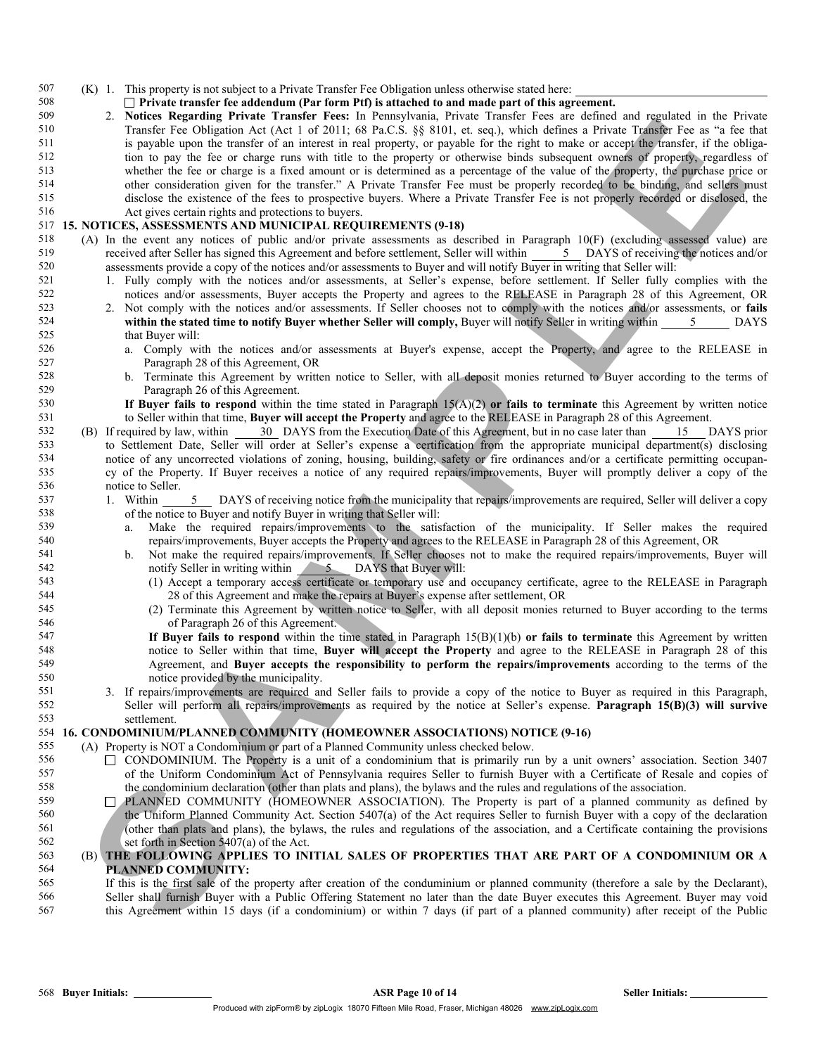(K) 1. This property is not subject to a Private Transfer Fee Obligation unless otherwise stated here:

## $\Box$  Private transfer fee addendum (Par form Ptf) is attached to and made part of this agreement.<br> $509$  2. Notices Regarding Private Transfer Fees: In Pennsylvania. Private Transfer Fees are defined

VARIOUS INTERFERING FOR THE MATERIAL INTERFERING TO THE ARE IN THE SECRET WAS THE MATERIAL INTERFERING TO THE SECRET WAS CONSULTED AN ARCHITECT WAS CONSULTED AN ARCHITECT WAS CONSULTED AN ARCHITECT WAS CONSULTED AN ARCHI 2. Notices Regarding Private Transfer Fees: In Pennsylvania, Private Transfer Fees are defined and regulated in the Private Transfer Fee Obligation Act (Act 1 of 2011; 68 Pa.C.S. §§ 8101, et. seq.), which defines a Private Transfer Fee as "a fee that is payable upon the transfer of an interest in real property, or payable for the right to make or accept the transfer, if the obliga- tion to pay the fee or charge runs with title to the property or otherwise binds subsequent owners of property, regardless of whether the fee or charge is a fixed amount or is determined as a percentage of the value of the property, the purchase price or other consideration given for the transfer." A Private Transfer Fee must be properly recorded to be binding, and sellers must 515 disclose the existence of the fees to prospective buyers. Where a Private Transfer Fee is not properly recorded or disclosed, the Act gives certain rights and protections to buyers. Act gives certain rights and protections to buyers.

### 15. NOTICES, ASSESSMENTS AND MUNICIPAL REQUIREMENTS (9-18)

- (A) In the event any notices of public and/or private assessments as described in Paragraph 10(F) (excluding assessed value) are 519 received after Seller has signed this Agreement and before settlement, Seller will within 5 DAYS of receiving the notices and/or assessments provide a copy of the notices and/or assessments to Buyer and will notify Buyer in writing that Seller will:
- 1. Fully comply with the notices and/or assessments, at Seller's expense, before settlement. If Seller fully complies with the
- 522 notices and/or assessments, Buyer accepts the Property and agrees to the RELEASE in Paragraph 28 of this Agreement, OR<br>523 2 Not comply with the notices and/or assessments If Seller chooses not to comply with the notic 2. Not comply with the notices and/or assessments. If Seller chooses not to comply with the notices and/or assessments, or fails within the stated time to notify Buyer whether Seller will comply, Buyer will notify Seller in writing within 5 DAYS that Buyer will:
- a. Comply with the notices and/or assessments at Buyer's expense, accept the Property, and agree to the RELEASE in Paragraph 28 of this Agreement, OR
- b. Terminate this Agreement by written notice to Seller, with all deposit monies returned to Buyer according to the terms of Paragraph 26 of this Agreement.

530 **If Buyer fails to respond** within the time stated in Paragraph  $15(A)(2)$  or fails to terminate this Agreement by written notice

- to Seller within that time, **Buyer will accept the Property** and agree to the RELEASE in Paragraph 28 of this Agreement.<br>
(B) If required by law, within 30 DAYS from the Execution Date of this Agreement, but in no case lat (B) If required by law, within 30 DAYS from the Execution Date of this Agreement, but in no case later than 15 DAYS prior to Settlement Date, Seller will order at Seller's expense a certification from the appropriate municipal department(s) disclosing notice of any uncorrected violations of zoning, housing, building, safety or fire ordinances and/or a certificate permitting occupan- cy of the Property. If Buyer receives a notice of any required repairs/improvements, Buyer will promptly deliver a copy of the notice to Seller.
- 1. Within 5 DAYS of receiving notice from the municipality that repairs/improvements are required, Seller will deliver a copy of the notice to Buyer and notify Buyer in writing that Seller will:
- a. Make the required repairs/improvements to the satisfaction of the municipality. If Seller makes the required repairs/improvements, Buyer accepts the Property and agrees to the RELEASE in Paragraph 28 of this Agreement, OR
- b. Not make the required repairs/improvements. If Seller chooses not to make the required repairs/improvements, Buyer will 542 notify Seller in writing within 5 DAYS that Buyer will:
- (1) Accept a temporary access certificate or temporary use and occupancy certificate, agree to the RELEASE in Paragraph 28 of this Agreement and make the repairs at Buyer's expense after settlement, OR
- (2) Terminate this Agreement by written notice to Seller, with all deposit monies returned to Buyer according to the terms of Paragraph 26 of this Agreement.
- 547 **If Buyer fails to respond** within the time stated in Paragraph  $15(B)(1)(b)$  or fails to terminate this Agreement by written notice to Seller within that time, Buyer will accept the Property and agree to the RELEASE in Paragraph 28 of this Agreement, and Buyer accepts the responsibility to perform the repairs/improvements according to the terms of the notice provided by the municipality.
- 3. If repairs/improvements are required and Seller fails to provide a copy of the notice to Buyer as required in this Paragraph, Seller will perform all repairs/improvements as required by the notice at Seller's expense. Paragraph 15(B)(3) will survive

### 553 settlement.<br>554 **16. CONDOMINIUM**/ 16. CONDOMINIUM/PLANNED COMMUNITY (HOMEOWNER ASSOCIATIONS) NOTICE (9-16)

- (A) Property is NOT a Condominium or part of a Planned Community unless checked below.
- 556  $\Box$  CONDOMINIUM. The Property is a unit of a condominium that is primarily run by a unit owners' association. Section 3407 of the Uniform Condominium Act of Pennsylvania requires Seller to furnish Buyer with a Certificate of Resale and copies of the condominium declaration (other than plats and plans), the bylaws and the rules and regulations of the association.
- PLANNED COMMUNITY (HOMEOWNER ASSOCIATION). The Property is part of a planned community as defined by 560 the Uniform Planned Community Act. Section 5407(a) of the Act requires Seller to furnish Buyer with a copy of the declaration 561 (other than plats and plans) the hydays the rules and requisions of the association and (other than plats and plans), the bylaws, the rules and regulations of the association, and a Certificate containing the provisions set forth in Section 5407(a) of the Act.

### (B) THE FOLLOWING APPLIES TO INITIAL SALES OF PROPERTIES THAT ARE PART OF A CONDOMINIUM OR A PLANNED COMMUNITY:

 If this is the first sale of the property after creation of the conduminium or planned community (therefore a sale by the Declarant), Seller shall furnish Buyer with a Public Offering Statement no later than the date Buyer executes this Agreement. Buyer may void this Agreement within 15 days (if a condominium) or within 7 days (if part of a planned community) after receipt of the Public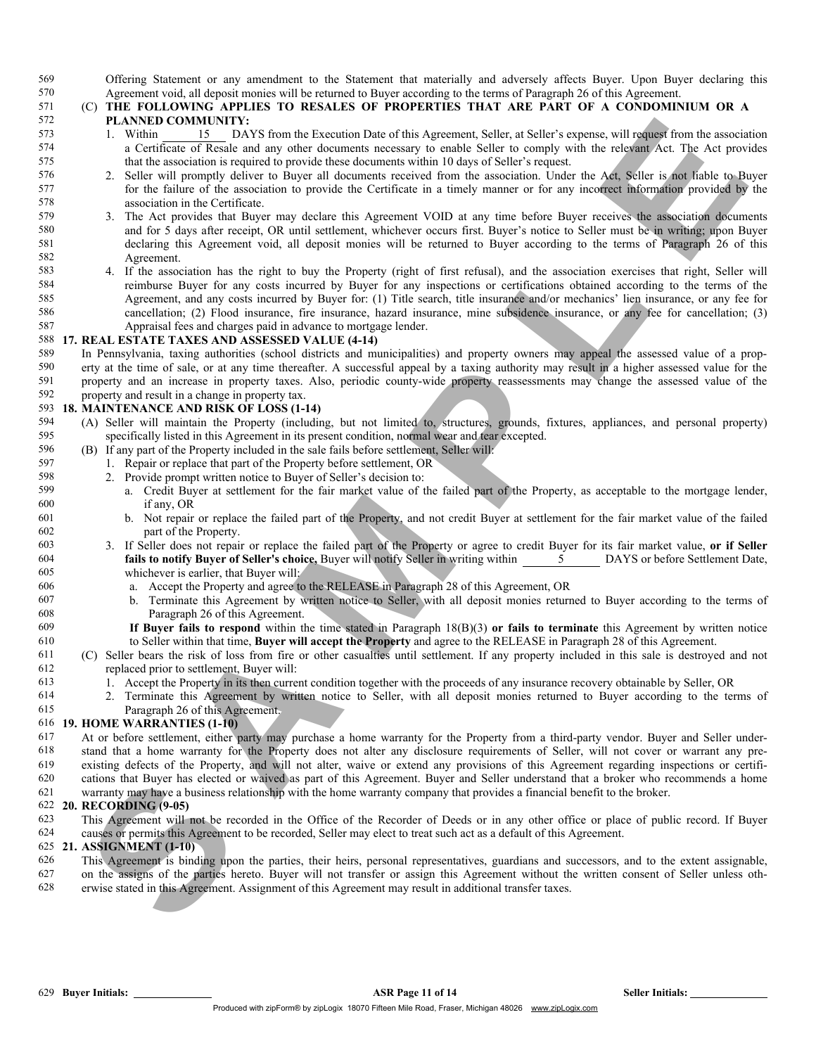569 Offering Statement or any amendment to the Statement that materially and adversely affects Buyer. Upon Buyer declaring this 570 Agreement void all denosit monies will be returned to Buyer according to the terms of Para Agreement void, all deposit monies will be returned to Buyer according to the terms of Paragraph 26 of this Agreement.

## (C) THE FOLLOWING APPLIES TO RESALES OF PROPERTIES THAT ARE PART OF A CONDOMINIUM OR A 572 **PLANNED COMMUNITY:**<br>573 1. Within 15 DA

- 1. Within 15 DAYS from the Execution Date of this Agreement, Seller, at Seller's expense, will request from the association a Certificate of Resale and any other documents necessary to enable Seller to comply with the relevant Act. The Act provides that the association is required to provide these documents within 10 days of Seller's request.
- 576 2. Seller will promptly deliver to Buyer all documents received from the association. Under the Act, Seller is not liable to Buyer<br>577 for the failure of the association to provide the Certificate in a timely manner or for the failure of the association to provide the Certificate in a timely manner or for any incorrect information provided by the association in the Certificate.
- 579 3. The Act provides that Buyer may declare this Agreement VOID at any time before Buyer receives the association documents 580 and for 5 days after receipt. OR until settlement, whichever occurs first. Buyer's notice t 580 and for 5 days after receipt, OR until settlement, whichever occurs first. Buyer's notice to Seller must be in writing; upon Buyer declaring this Agreement void, all deposit monies will be returned to Buyer according t declaring this Agreement void, all deposit monies will be returned to Buyer according to the terms of Paragraph 26 of this Agreement.
- **PLANN IN CONDITIONTS** (The third is the control by the control by the state of the state of the state of the state of the state of the state of the state of the state of the state of the state of the state of the state o 4. If the association has the right to buy the Property (right of first refusal), and the association exercises that right, Seller will reimburse Buyer for any costs incurred by Buyer for any inspections or certifications obtained according to the terms of the Agreement, and any costs incurred by Buyer for: (1) Title search, title insurance and/or mechanics' lien insurance, or any fee for cancellation; (2) Flood insurance, fire insurance, hazard insurance, mine subsidence insurance, or any fee for cancellation; (3) Appraisal fees and charges paid in advance to mortgage lender.

### 17. REAL ESTATE TAXES AND ASSESSED VALUE (4-14)

 In Pennsylvania, taxing authorities (school districts and municipalities) and property owners may appeal the assessed value of a prop-590 erty at the time of sale, or at any time thereafter. A successful appeal by a taxing authority may result in a higher assessed value for the property and an increase in property taxes. Also, periodic county-wide proper property and an increase in property taxes. Also, periodic county-wide property reassessments may change the assessed value of the property and result in a change in property tax.

### 18. MAINTENANCE AND RISK OF LOSS (1-14)

- (A) Seller will maintain the Property (including, but not limited to, structures, grounds, fixtures, appliances, and personal property) specifically listed in this Agreement in its present condition, normal wear and tear excepted.
- (B) If any part of the Property included in the sale fails before settlement, Seller will:
- 597 1. Repair or replace that part of the Property before settlement, OR<br>598 2. Provide prompt written notice to Buyer of Seller's decision to:
- 598 2. Provide prompt written notice to Buyer of Seller's decision to:<br>599 3. Credit Buyer at settlement for the fair market value of t
- a. Credit Buyer at settlement for the fair market value of the failed part of the Property, as acceptable to the mortgage lender, if any, OR
- b. Not repair or replace the failed part of the Property, and not credit Buyer at settlement for the fair market value of the failed part of the Property.
- 3. If Seller does not repair or replace the failed part of the Property or agree to credit Buyer for its fair market value, or if Seller **fails to notify Buyer of Seller's choice,** Buyer will notify Seller in writing within 5 DAYS or before Settlement Date, whichever is earlier, that Buyer will:
- a. Accept the Property and agree to the RELEASE in Paragraph 28 of this Agreement, OR
- b. Terminate this Agreement by written notice to Seller, with all deposit monies returned to Buyer according to the terms of Paragraph 26 of this Agreement.
- If Buyer fails to respond within the time stated in Paragraph 18(B)(3) or fails to terminate this Agreement by written notice to Seller within that time, Buyer will accept the Property and agree to the RELEASE in Paragraph 28 of this Agreement.
- (C) Seller bears the risk of loss from fire or other casualties until settlement. If any property included in this sale is destroyed and not replaced prior to settlement, Buyer will:
- 1. Accept the Property in its then current condition together with the proceeds of any insurance recovery obtainable by Seller, OR
- 2. Terminate this Agreement by written notice to Seller, with all deposit monies returned to Buyer according to the terms of Paragraph 26 of this Agreement.

### 19. HOME WARRANTIES (1-10)

 At or before settlement, either party may purchase a home warranty for the Property from a third-party vendor. Buyer and Seller under- stand that a home warranty for the Property does not alter any disclosure requirements of Seller, will not cover or warrant any pre- existing defects of the Property, and will not alter, waive or extend any provisions of this Agreement regarding inspections or certifi- cations that Buyer has elected or waived as part of this Agreement. Buyer and Seller understand that a broker who recommends a home warranty may have a business relationship with the home warranty company that provides a financial benefit to the broker.

# 622 20. RECORDING  $(9-05)$ <br>623 This Agreement will

This Agreement will not be recorded in the Office of the Recorder of Deeds or in any other office or place of public record. If Buyer causes or permits this Agreement to be recorded, Seller may elect to treat such act as a default of this Agreement.

### 21. ASSIGNMENT (1-10)

- This Agreement is binding upon the parties, their heirs, personal representatives, guardians and successors, and to the extent assignable, on the assigns of the parties hereto. Buyer will not transfer or assign this Agreement without the written consent of Seller unless oth-
- erwise stated in this Agreement. Assignment of this Agreement may result in additional transfer taxes.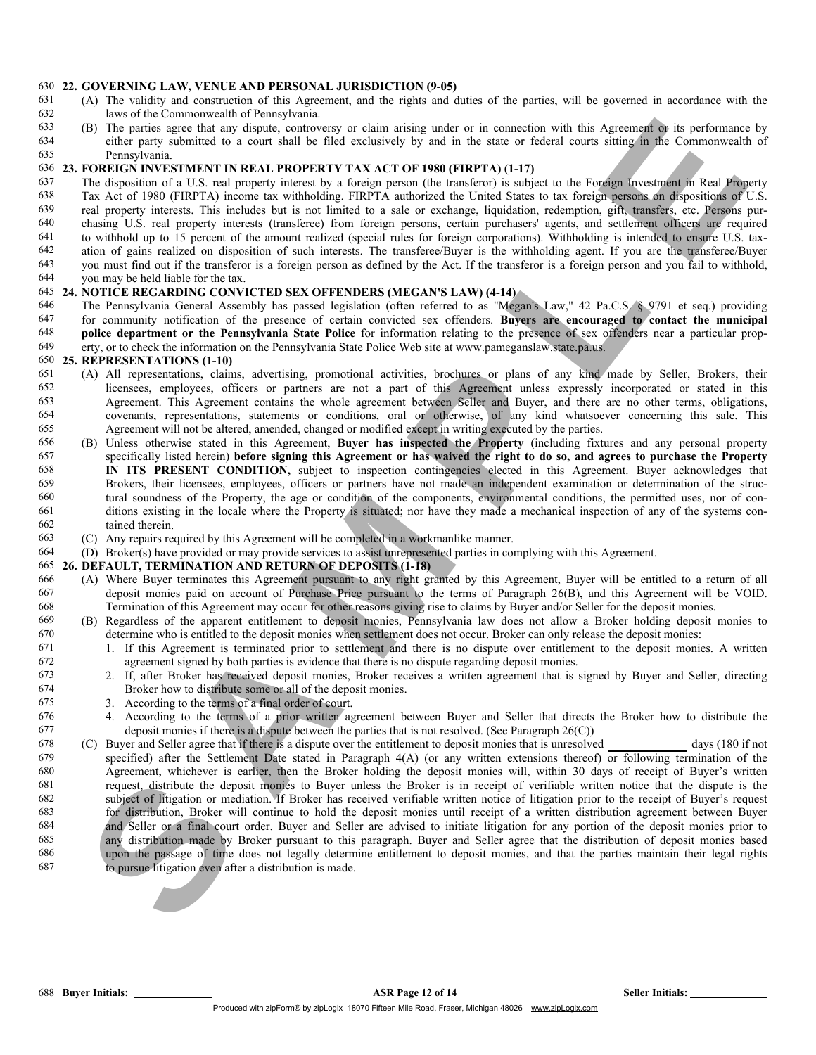## 630 22. GOVERNING LAW, VENUE AND PERSONAL JURISDICTION (9-05) 631 (A) The validity and construction of this Agreement and the rights and d

- (A) The validity and construction of this Agreement, and the rights and duties of the parties, will be governed in accordance with the laws of the Commonwealth of Pennsylvania.
- 633 (B) The parties agree that any dispute, controversy or claim arising under or in connection with this Agreement or its performance by either party submitted to a court shall be filed exclusively by and in the state or either party submitted to a court shall be filed exclusively by and in the state or federal courts sitting in the Commonwealth of Pennsylvania.

### 23. FOREIGN INVESTMENT IN REAL PROPERTY TAX ACT OF 1980 (FIRPTA) (1-17)

- 637 The disposition of a U.S. real property interest by a foreign person (the transferor) is subject to the Foreign Investment in Real Property<br>638 Tax Act of 1980 (EIRPTA) income tax withholding EIRPTA authorized the Unit Tax Act of 1980 (FIRPTA) income tax withholding. FIRPTA authorized the United States to tax foreign persons on dispositions of U.S.<br>639 real property interests. This includes but is not limited to a sale or exchange, liqui for the property interests. This includes but is not limited to a sale or exchange, liquidation, redemption, gift, transfers, etc. Persons pur-<br>640 chasing U.S. real property interests (transferee) from foreign persons, ce
- 640 chasing U.S. real property interests (transferee) from foreign persons, certain purchasers' agents, and settlement officers are required to withhold up to 15 percent of the amount realized (special rules for foreign co
- to withhold up to 15 percent of the amount realized (special rules for foreign corporations). Withholding is intended to ensure U.S. tax-ation of gains realized on disposition of such interests. The transferee/Buyer is the withholding agent. If you are the transferee/Buyer
- 643 you must find out if the transferor is a foreign person as defined by the Act. If the transferor is a foreign person and you fail to withhold, you may be held liable for the tax.
- you may be held liable for the tax.

### 24. NOTICE REGARDING CONVICTED SEX OFFENDERS (MEGAN'S LAW) (4-14)

 The Pennsylvania General Assembly has passed legislation (often referred to as "Megan's Law," 42 Pa.C.S. § 9791 et seq.) providing 647 for community notification of the presence of certain convicted sex offenders. Buyers are encouraged to contact the municipal<br>648 police department or the Pennsylvania State Police for information relating to the prese police department or the Pennsylvania State Police for information relating to the presence of sex offenders near a particular prop-erty, or to check the information on the Pennsylvania State Police Web site at www.pameganslaw.state.pa.us.

# 650 25. REPRESENTATIONS (1-10)<br>651 (A) All representations, claim

- 651 (A) All representations, claims, advertising, promotional activities, brochures or plans of any kind made by Seller, Brokers, their<br>652 licensees employees officers or partners are not a part of this Agreement unless e licensees, employees, officers or partners are not a part of this Agreement unless expressly incorporated or stated in this Agreement. This Agreement contains the whole agreement between Seller and Buyer, and there are no other terms, obligations, covenants, representations, statements or conditions, oral or otherwise, of any kind whatsoever concerning this sale. This Agreement will not be altered, amended, changed or modified except in writing executed by the parties.
- (B) Unless otherwise stated in this Agreement, Buyer has inspected the Property (including fixtures and any personal property 657 specifically listed herein) before signing this Agreement or has waived the right to do so, and agrees to purchase the Property<br>658 **IN ITS PRESENT CONDITION** subject to inspection contingencies elected in this Agreeme **IN ITS PRESENT CONDITION**, subject to inspection contingencies elected in this Agreement. Buyer acknowledges that 659 Brokers their licensees employees officers or partners have not made an independent examination or 659 Brokers, their licensees, employees, officers or partners have not made an independent examination or determination of the struc-<br>660 tural soundness of the Property the age or condition of the components environmental tural soundness of the Property, the age or condition of the components, environmental conditions, the permitted uses, nor of con- ditions existing in the locale where the Property is situated; nor have they made a mechanical inspection of any of the systems con-tained therein.
- (C) Any repairs required by this Agreement will be completed in a workmanlike manner.
- (D) Broker(s) have provided or may provide services to assist unrepresented parties in complying with this Agreement.

### 26. DEFAULT, TERMINATION AND RETURN OF DEPOSITS (1-18)

- (A) Where Buyer terminates this Agreement pursuant to any right granted by this Agreement, Buyer will be entitled to a return of all deposit monies paid on account of Purchase Price pursuant to the terms of Paragraph 26(B), and this Agreement will be VOID. Fermination of this Agreement may occur for other reasons giving rise to claims by Buyer and/or Seller for the deposit monies.<br>
669 (B) Regardless of the annarent entitlement to deposit monies. Pennsylvania law does not al
- (B) Regardless of the apparent entitlement to deposit monies, Pennsylvania law does not allow a Broker holding deposit monies to determine who is entitled to the deposit monies when settlement does not occur. Broker can only release the deposit monies:
- <sup>671</sup> 1. If this Agreement is terminated prior to settlement and there is no dispute over entitlement to the deposit monies. A written agreement signed by both parties is evidence that there is no dispute regarding deposit 672 agreement signed by both parties is evidence that there is no dispute regarding deposit monies.<br>673 1. If after Broker has received deposit monies. Broker receives a written agreement that is
- 2. If, after Broker has received deposit monies, Broker receives a written agreement that is signed by Buyer and Seller, directing Broker how to distribute some or all of the deposit monies.
- 3. According to the terms of a final order of court.
- 4. According to the terms of a prior written agreement between Buyer and Seller that directs the Broker how to distribute the 677 deposit monies if there is a dispute between the parties that is not resolved. (See Paragraph  $26(C)$ )
- (3) The same that and denote the same of education of the same tells of the Apertamenta in the same of the same of the same of the same of the same of the same of the same of the same of the same of the same of the same o (C) Buyer and Seller agree that if there is a dispute over the entitlement to deposit monies that is unresolved days (180 if not specified) after the Settlement Date stated in Paragraph 4(A) (or any written extensions thereof) or following termination of the Agreement, whichever is earlier, then the Broker holding the deposit monies will, within 30 days of receipt of Buyer's written request, distribute the deposit monies to Buyer unless the Broker is in receipt of verifiable written notice that the dispute is the subject of litigation or mediation. If Broker has received verifiable written notice of litigation prior to the receipt of Buyer's request for distribution. Broker will continue to hold the deposit monies until receipt of a written distribution agreement between Buyer and Seller or a final court order. Buyer and Seller are advised to initiate litigation for any portion of the deposit monies prior to any distribution made by Broker pursuant to this paragraph. Buyer and Seller agree that the distribution of deposit monies based upon the passage of time does not legally determine entitlement to deposit monies, and that the parties maintain their legal rights to pursue litigation even after a distribution is made.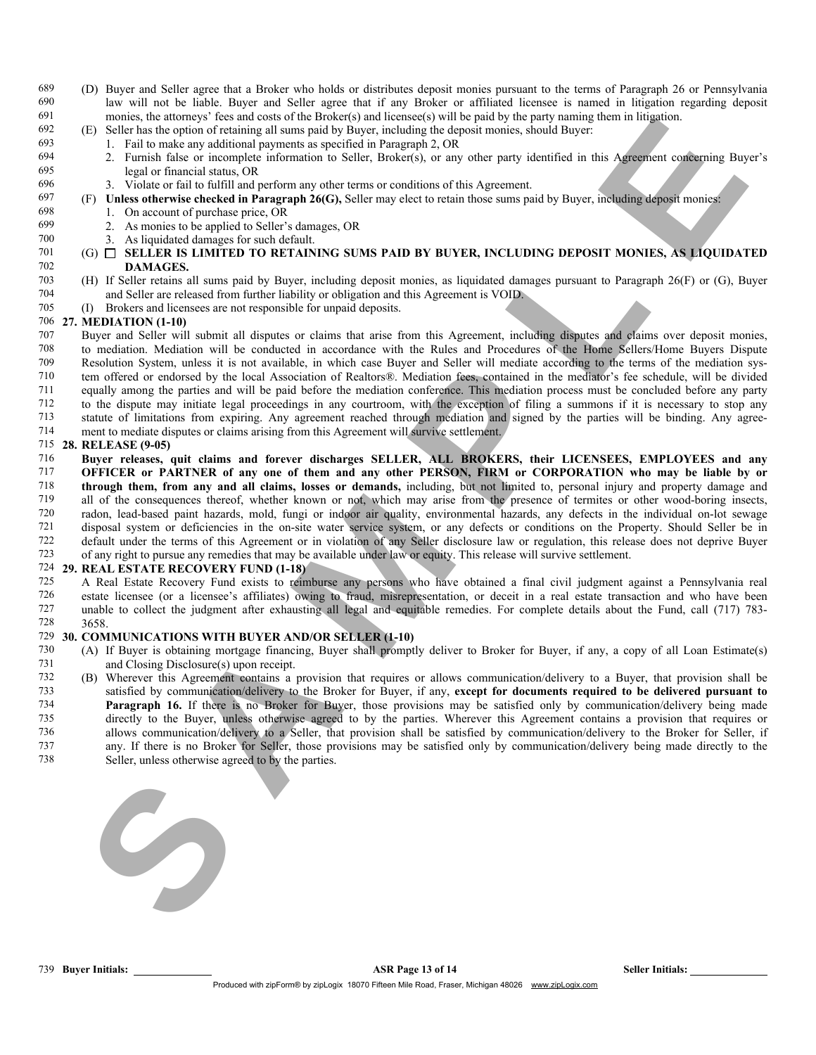- 689 (D) Buyer and Seller agree that a Broker who holds or distributes deposit monies pursuant to the terms of Paragraph 26 or Pennsylvania <sup>690</sup> law will not be liable. Buyer and Seller agree that if any Broker or affiliated licensee is named in litigation regarding deposit monies, the attorneys' fees and costs of the Broker(s) and licensee(s) will be paid by monies, the attorneys' fees and costs of the Broker(s) and licensee(s) will be paid by the party naming them in litigation.
- 692 (E) Seller has the option of retaining all sums paid by Buyer, including the deposit monies, should Buyer:
- $693$  1. Fail to make any additional payments as specified in Paragraph 2, OR  $694$  2. Furnish false or incomplete information to Seller, Broker(s) or any
- 694 2. Furnish false or incomplete information to Seller, Broker(s), or any other party identified in this Agreement concerning Buyer's 695 legal or financial status, OR
- 696 3. Violate or fail to fulfill and perform any other terms or conditions of this Agreement.<br>697 (F) Unless otherwise checked in Paragraph 26(G). Seller may elect to retain those sums pa
- 697 (F) Unless otherwise checked in Paragraph 26(G), Seller may elect to retain those sums paid by Buyer, including deposit monies:<br>698 1. On account of purchase price. OR

### 1. On account of purchase price, OR

- 699 2. As monies to be applied to Seller's damages, OR
- 700 3. As liquidated damages for such default.<br>  $701$  (G)  $\Box$  SELLER IS LIMITED TO RETAIN
- $(6)$   $\Box$  SELLER IS LIMITED TO RETAINING SUMS PAID BY BUYER, INCLUDING DEPOSIT MONIES, AS LIQUIDATED 702 DAMAGES.
- 703 (H) If Seller retains all sums paid by Buyer, including deposit monies, as liquidated damages pursuant to Paragraph 26(F) or (G), Buyer 704 and Seller are released from further liability or obligation and this Agreement is VOID.<br>705 (1) Brokers and licensees are not responsible for unpaid deposits
- 705 (I) Brokers and licensees are not responsible for unpaid deposits.<br>706 27. MEDIATION (1-10)

### 27. MEDIATION (1-10)

- 707 Buyer and Seller will submit all disputes or claims that arise from this Agreement, including disputes and claims over deposit monies,<br>708 to mediation Mediation will be conducted in accordance with the Rules and Proce to mediation. Mediation will be conducted in accordance with the Rules and Procedures of the Home Sellers/Home Buyers Dispute 709 Resolution System, unless it is not available, in which case Buyer and Seller will mediate according to the terms of the mediation sys-710 tem offered or endorsed by the local Association of Realtors®. Mediation fees, contained in the mediator's fee schedule, will be divided 711 equally among the parties and will be paid before the mediation conference. This mediation process must be concluded before any party to the dispute may initiate legal proceedings in any courtroom, with the exception of filing a summons if it is necessary to stop any 213 statute of limitations from expiring. Any agreement reached through mediation and signed by the parties will be binding. Any agree-<br>214 ment to mediate disputes or claims arising from this Agreement will survive settle
- ment to mediate disputes or claims arising from this Agreement will survive settlement.

### 715 28. RELEASE (9-05)

s a mean hot stronger in the stronger in the stronger in the strong internal mean of the stronger in the stronger in the stronger in the stronger in the stronger in the stronger in the stronger in the stronger in the stron 716 Buyer releases, quit claims and forever discharges SELLER, ALL BROKERS, their LICENSEES, EMPLOYEES and any 717 **OFFICER or PARTNER of any one of them and any other PERSON, FIRM or CORPORATION who may be liable by or** 718 **through them, from any and all claims, losses or demands**, including but not limited to personal injury and The **through them, from any and all claims, losses or demands**, including, but not limited to, personal injury and property damage and all of the consequences thereof, whether known or not, which may arise from the presenc all of the consequences thereof, whether known or not, which may arise from the presence of termites or other wood-boring insects, 720 radon, lead-based paint hazards, mold, fungi or indoor air quality, environmental hazards, any defects in the individual on-lot sewage 721 disposal system or deficiencies in the on-site water service system, or any defects or conditions on the Property. Should Seller be in<br>722 default under the terms of this Agreement or in violation of any Seller disclos 722 default under the terms of this Agreement or in violation of any Seller disclosure law or regulation, this release does not deprive Buyer 723 of any right to pursue any remedies that may be available under law or equity. This release will survive settlement.

# 724 **29. REAL ESTATE RECOVERY FUND (1-18)**<br>725 A Real Estate Recovery Fund exists to reim

725 A Real Estate Recovery Fund exists to reimburse any persons who have obtained a final civil judgment against a Pennsylvania real<br>726 estate licensee (or a licensee's affiliates) owing to fraud misrepresentation, or dec 726 estate licensee (or a licensee's affiliates) owing to fraud, misrepresentation, or deceit in a real estate transaction and who have been 727 unable to collect the judgment after exhausting all legal and equitable remedies. For complete details about the Fund, call (717) 783-

#### 728 3658.<br>729 30. COM 30. COMMUNICATIONS WITH BUYER AND/OR SELLER (1-10)

- 730 (A) If Buyer is obtaining mortgage financing, Buyer shall promptly deliver to Broker for Buyer, if any, a copy of all Loan Estimate(s) 731 and Closing Disclosure(s) upon receipt.<br>732 (B) Wherever this Agreement contains a
- 732 (B) Wherever this Agreement contains a provision that requires or allows communication/delivery to a Buyer, that provision shall be 733 satisfied by communication/delivery to the Broker for Buyer, if any, except for documents required to be delivered pursuant to 734 Paragraph 16. If there is no Broker for Buyer, those provisions may be satisfied only by communication/delivery being made 735 directly to the Buyer, unless otherwise agreed to by the parties. Wherever this Agreement contains a provision that requires or allows communication/delivery to a Seller, that provision shall be satisfied by communication/delivery to the Broker for Seller, if 737 any. If there is no Broker for Seller, those provisions may be satisfied only by communication/delivery being made directly to the 738 Seller, unless otherwise agreed to by the parties.